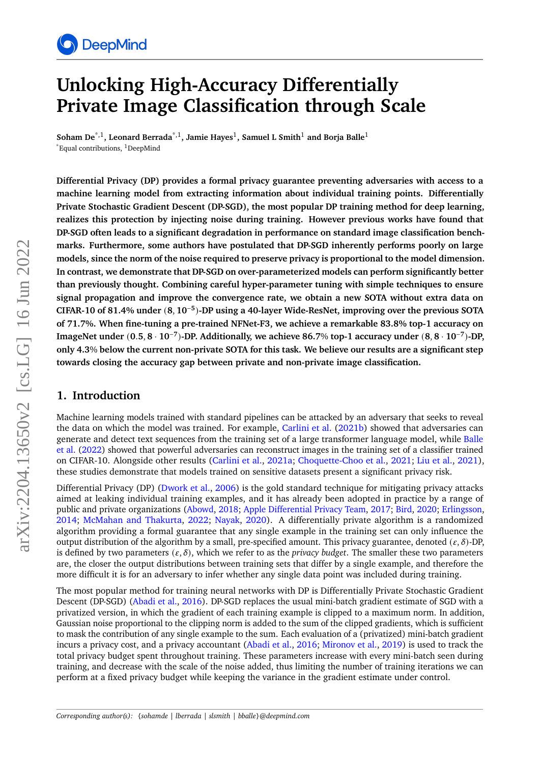

# **Unlocking High-Accuracy Differentially Private Image Classification through Scale**

**Soham De**\*,1**, Leonard Berrada**\*,1**, Jamie Hayes**<sup>1</sup> **, Samuel L Smith**<sup>1</sup> **and Borja Balle**<sup>1</sup>  $*$ Equal contributions, <sup>1</sup>DeepMind

**Differential Privacy (DP) provides a formal privacy guarantee preventing adversaries with access to a machine learning model from extracting information about individual training points. Differentially Private Stochastic Gradient Descent (DP-SGD), the most popular DP training method for deep learning, realizes this protection by injecting noise during training. However previous works have found that DP-SGD often leads to a significant degradation in performance on standard image classification benchmarks. Furthermore, some authors have postulated that DP-SGD inherently performs poorly on large models, since the norm of the noise required to preserve privacy is proportional to the model dimension. In contrast, we demonstrate that DP-SGD on over-parameterized models can perform significantly better than previously thought. Combining careful hyper-parameter tuning with simple techniques to ensure signal propagation and improve the convergence rate, we obtain a new SOTA without extra data on CIFAR-10 of 81.4% under** (**8**, **10**−**<sup>5</sup>** )**-DP using a 40-layer Wide-ResNet, improving over the previous SOTA of 71.7%. When fine-tuning a pre-trained NFNet-F3, we achieve a remarkable 83.8% top-1 accuracy on ImageNet under** (**0**.**5**, **8** · **10**−**<sup>7</sup>** )**-DP. Additionally, we achieve 86.7**% **top-1 accuracy under** (**8**, **8** · **10**−**<sup>7</sup>** )**-DP, only 4.3**% **below the current non-private SOTA for this task. We believe our results are a significant step towards closing the accuracy gap between private and non-private image classification.**

### **1. Introduction**

Machine learning models trained with standard pipelines can be attacked by an adversary that seeks to reveal the data on which the model was trained. For example, [Carlini et al.](#page-17-0) [\(2021b\)](#page-17-0) showed that adversaries can generate and detect text sequences from the training set of a large transformer language model, while [Balle](#page-17-1) [et al.](#page-17-1) [\(2022\)](#page-17-1) showed that powerful adversaries can reconstruct images in the training set of a classifier trained on CIFAR-10. Alongside other results [\(Carlini et al.,](#page-17-2) [2021a;](#page-17-2) [Choquette-Choo et al.,](#page-17-3) [2021;](#page-17-3) [Liu et al.,](#page-19-0) [2021\)](#page-19-0), these studies demonstrate that models trained on sensitive datasets present a significant privacy risk.

Differential Privacy (DP) [\(Dwork et al.,](#page-18-0) [2006\)](#page-18-0) is the gold standard technique for mitigating privacy attacks aimed at leaking individual training examples, and it has already been adopted in practice by a range of public and private organizations [\(Abowd,](#page-16-0) [2018;](#page-16-0) [Apple Differential Privacy Team,](#page-16-1) [2017;](#page-16-1) [Bird,](#page-17-4) [2020;](#page-17-4) [Erlingsson,](#page-18-1) [2014;](#page-18-1) [McMahan and Thakurta,](#page-19-1) [2022;](#page-19-1) [Nayak,](#page-19-2) [2020\)](#page-19-2). A differentially private algorithm is a randomized algorithm providing a formal guarantee that any single example in the training set can only influence the output distribution of the algorithm by a small, pre-specified amount. This privacy guarantee, denoted  $(\varepsilon, \delta)$ -DP, is defined by two parameters  $(\varepsilon, \delta)$ , which we refer to as the *privacy budget*. The smaller these two parameters are, the closer the output distributions between training sets that differ by a single example, and therefore the more difficult it is for an adversary to infer whether any single data point was included during training.

The most popular method for training neural networks with DP is Differentially Private Stochastic Gradient Descent (DP-SGD) [\(Abadi et al.,](#page-16-2) [2016\)](#page-16-2). DP-SGD replaces the usual mini-batch gradient estimate of SGD with a privatized version, in which the gradient of each training example is clipped to a maximum norm. In addition, Gaussian noise proportional to the clipping norm is added to the sum of the clipped gradients, which is sufficient to mask the contribution of any single example to the sum. Each evaluation of a (privatized) mini-batch gradient incurs a privacy cost, and a privacy accountant [\(Abadi et al.,](#page-16-2) [2016;](#page-16-2) [Mironov et al.,](#page-19-3) [2019\)](#page-19-3) is used to track the total privacy budget spent throughout training. These parameters increase with every mini-batch seen during training, and decrease with the scale of the noise added, thus limiting the number of training iterations we can perform at a fixed privacy budget while keeping the variance in the gradient estimate under control.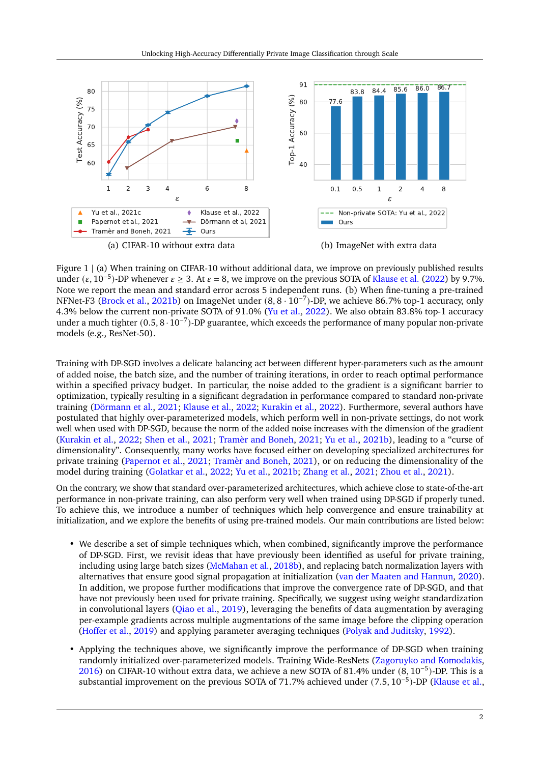<span id="page-1-0"></span>

Figure 1 | (a) When training on CIFAR-10 without additional data, we improve on previously published results under ( $\varepsilon$ , 10<sup>-5</sup>)-DP whenever  $\varepsilon \ge 3$ . At  $\varepsilon = 8$ , we improve on the previous SOTA of [Klause et al.](#page-18-2) [\(2022\)](#page-18-2) by 9.7%. Note we report the mean and standard error across 5 independent runs. (b) When fine-tuning a pre-trained NFNet-F3 [\(Brock et al.,](#page-17-5) [2021b\)](#page-17-5) on ImageNet under (8, 8 · 10−<sup>7</sup> )-DP, we achieve 86.7% top-1 accuracy, only 4.3% below the current non-private SOTA of 91.0% [\(Yu et al.,](#page-21-0) [2022\)](#page-21-0). We also obtain 83.8% top-1 accuracy under a much tighter (0.5, 8 · 10−<sup>7</sup> )-DP guarantee, which exceeds the performance of many popular non-private models (e.g., ResNet-50).

Training with DP-SGD involves a delicate balancing act between different hyper-parameters such as the amount of added noise, the batch size, and the number of training iterations, in order to reach optimal performance within a specified privacy budget. In particular, the noise added to the gradient is a significant barrier to optimization, typically resulting in a significant degradation in performance compared to standard non-private training [\(Dörmann et al.,](#page-17-6) [2021;](#page-17-6) [Klause et al.,](#page-18-2) [2022;](#page-18-2) [Kurakin et al.,](#page-19-4) [2022\)](#page-19-4). Furthermore, several authors have postulated that highly over-parameterized models, which perform well in non-private settings, do not work well when used with DP-SGD, because the norm of the added noise increases with the dimension of the gradient [\(Kurakin et al.,](#page-19-4) [2022;](#page-19-4) [Shen et al.,](#page-20-0) [2021;](#page-20-0) [Tramèr and Boneh,](#page-20-1) [2021;](#page-20-1) [Yu et al.,](#page-21-1) [2021b\)](#page-21-1), leading to a "curse of dimensionality". Consequently, many works have focused either on developing specialized architectures for private training [\(Papernot et al.,](#page-19-5) [2021;](#page-19-5) [Tramèr and Boneh,](#page-20-1) [2021\)](#page-20-1), or on reducing the dimensionality of the model during training [\(Golatkar et al.,](#page-18-3) [2022;](#page-18-3) [Yu et al.,](#page-21-1) [2021b;](#page-21-1) [Zhang et al.,](#page-21-2) [2021;](#page-21-2) [Zhou et al.,](#page-21-3) [2021\)](#page-21-3).

On the contrary, we show that standard over-parameterized architectures, which achieve close to state-of-the-art performance in non-private training, can also perform very well when trained using DP-SGD if properly tuned. To achieve this, we introduce a number of techniques which help convergence and ensure trainability at initialization, and we explore the benefits of using pre-trained models. Our main contributions are listed below:

- We describe a set of simple techniques which, when combined, significantly improve the performance of DP-SGD. First, we revisit ideas that have previously been identified as useful for private training, including using large batch sizes [\(McMahan et al.,](#page-19-6) [2018b\)](#page-19-6), and replacing batch normalization layers with alternatives that ensure good signal propagation at initialization [\(van der Maaten and Hannun,](#page-21-4) [2020\)](#page-21-4). In addition, we propose further modifications that improve the convergence rate of DP-SGD, and that have not previously been used for private training. Specifically, we suggest using weight standardization in convolutional layers [\(Qiao et al.,](#page-20-2) [2019\)](#page-20-2), leveraging the benefits of data augmentation by averaging per-example gradients across multiple augmentations of the same image before the clipping operation [\(Hoffer et al.,](#page-18-4) [2019\)](#page-18-4) and applying parameter averaging techniques [\(Polyak and Juditsky,](#page-19-7) [1992\)](#page-19-7).
- Applying the techniques above, we significantly improve the performance of DP-SGD when training randomly initialized over-parameterized models. Training Wide-ResNets [\(Zagoruyko and Komodakis,](#page-21-5) [2016\)](#page-21-5) on CIFAR-10 without extra data, we achieve a new SOTA of 81.4% under (8, 10−<sup>5</sup> )-DP. This is a substantial improvement on the previous SOTA of 71.7% achieved under (7.5, 10<sup>-5</sup>)-DP [\(Klause et al.,](#page-18-2)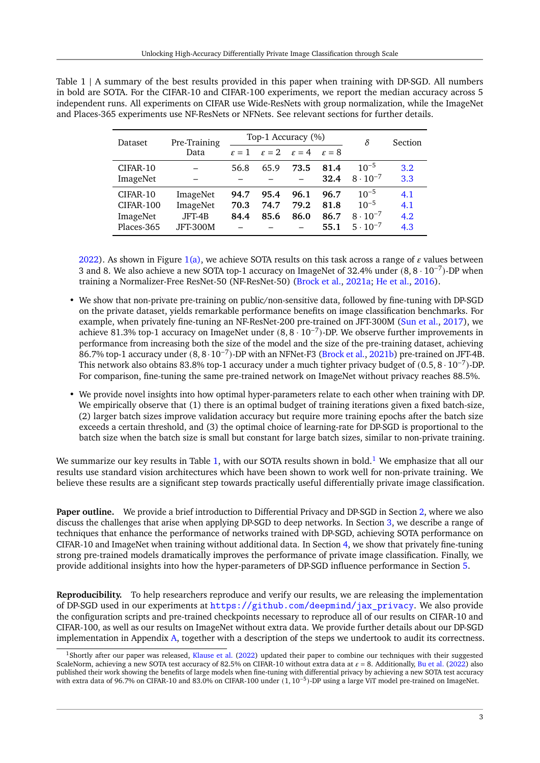| Dataset    | Pre-Training    |      | Top-1 Accuracy (%)                                          |      |      |                   | <b>Section</b>   |
|------------|-----------------|------|-------------------------------------------------------------|------|------|-------------------|------------------|
|            | Data            |      | $\epsilon = 1$ $\epsilon = 2$ $\epsilon = 4$ $\epsilon = 8$ |      |      |                   |                  |
| CIFAR-10   |                 | 56.8 | 65.9                                                        | 73.5 | 81.4 | $10^{-5}$         | 3.2 <sub>2</sub> |
| ImageNet   |                 |      |                                                             |      | 32.4 | $8 \cdot 10^{-7}$ | 3.3              |
| CIFAR-10   | ImageNet        | 94.7 | 95.4                                                        | 96.1 | 96.7 | $10^{-5}$         | 4.1              |
| CIFAR-100  | ImageNet        | 70.3 | 74.7                                                        | 79.2 | 81.8 | $10^{-5}$         | 4.1              |
| ImageNet   | JFT-4B          | 84.4 | 85.6                                                        | 86.0 | 86.7 | $8 \cdot 10^{-7}$ | 4.2              |
| Places-365 | <b>JFT-300M</b> |      |                                                             |      | 55.1 | $5 \cdot 10^{-7}$ | 4.3              |

<span id="page-2-0"></span>Table 1 | A summary of the best results provided in this paper when training with DP-SGD. All numbers in bold are SOTA. For the CIFAR-10 and CIFAR-100 experiments, we report the median accuracy across 5 independent runs. All experiments on CIFAR use Wide-ResNets with group normalization, while the ImageNet and Places-365 experiments use NF-ResNets or NFNets. See relevant sections for further details.

[2022\)](#page-18-2). As shown in Figure [1\(a\),](#page-1-0) we achieve SOTA results on this task across a range of  $\varepsilon$  values between 3 and 8. We also achieve a new SOTA top-1 accuracy on ImageNet of 32.4% under (8, 8 · 10−<sup>7</sup> )-DP when training a Normalizer-Free ResNet-50 (NF-ResNet-50) [\(Brock et al.,](#page-17-7) [2021a;](#page-17-7) [He et al.,](#page-18-5) [2016\)](#page-18-5).

- We show that non-private pre-training on public/non-sensitive data, followed by fine-tuning with DP-SGD on the private dataset, yields remarkable performance benefits on image classification benchmarks. For example, when privately fine-tuning an NF-ResNet-200 pre-trained on JFT-300M [\(Sun et al.,](#page-20-3) [2017\)](#page-20-3), we achieve 81.3% top-1 accuracy on ImageNet under (8, 8 · 10−<sup>7</sup> )-DP. We observe further improvements in performance from increasing both the size of the model and the size of the pre-training dataset, achieving .<br>86.7% top-1 accuracy under (8, 8·10<sup>-7</sup>)-DP with an NFNet-F3 [\(Brock et al.,](#page-17-5) [2021b\)](#page-17-5) pre-trained on JFT-4B. This network also obtains 83.8% top-1 accuracy under a much tighter privacy budget of (0.5, 8 · 10−<sup>7</sup> )-DP. For comparison, fine-tuning the same pre-trained network on ImageNet without privacy reaches 88.5%.
- We provide novel insights into how optimal hyper-parameters relate to each other when training with DP. We empirically observe that (1) there is an optimal budget of training iterations given a fixed batch-size, (2) larger batch sizes improve validation accuracy but require more training epochs after the batch size exceeds a certain threshold, and (3) the optimal choice of learning-rate for DP-SGD is proportional to the batch size when the batch size is small but constant for large batch sizes, similar to non-private training.

We summarize our key results in Table [1,](#page-2-0) with our SOTA results shown in bold.<sup>[1](#page-2-1)</sup> We emphasize that all our results use standard vision architectures which have been shown to work well for non-private training. We believe these results are a significant step towards practically useful differentially private image classification.

**Paper outline.** We provide a brief introduction to Differential Privacy and DP-SGD in Section [2,](#page-2-2) where we also discuss the challenges that arise when applying DP-SGD to deep networks. In Section [3,](#page-5-0) we describe a range of techniques that enhance the performance of networks trained with DP-SGD, achieving SOTA performance on CIFAR-10 and ImageNet when training without additional data. In Section [4,](#page-10-1) we show that privately fine-tuning strong pre-trained models dramatically improves the performance of private image classification. Finally, we provide additional insights into how the hyper-parameters of DP-SGD influence performance in Section [5.](#page-13-1)

**Reproducibility.** To help researchers reproduce and verify our results, we are releasing the implementation of DP-SGD used in our experiments at [https://github.com/deepmind/jax\\_privacy](https://github.com/deepmind/jax_privacy). We also provide the configuration scripts and pre-trained checkpoints necessary to reproduce all of our results on CIFAR-10 and CIFAR-100, as well as our results on ImageNet without extra data. We provide further details about our DP-SGD implementation in Appendix [A,](#page-22-0) together with a description of the steps we undertook to audit its correctness.

<span id="page-2-2"></span><span id="page-2-1"></span><sup>&</sup>lt;sup>1</sup>Shortly after our paper was released, [Klause et al.](#page-18-2) [\(2022\)](#page-18-2) updated their paper to combine our techniques with their suggested ScaleNorm, achieving a new SOTA test accuracy of 82.5% on CIFAR-10 without extra data at  $\epsilon = 8$ . Additionally, [Bu et al.](#page-17-8) [\(2022\)](#page-17-8) also published their work showing the benefits of large models when fine-tuning with differential privacy by achieving a new SOTA test accuracy .<br>with extra data of 96.7% on CIFAR-10 and 83.0% on CIFAR-100 under (1, 10<sup>-5</sup>)-DP using a large ViT model pre-trained on ImageNet.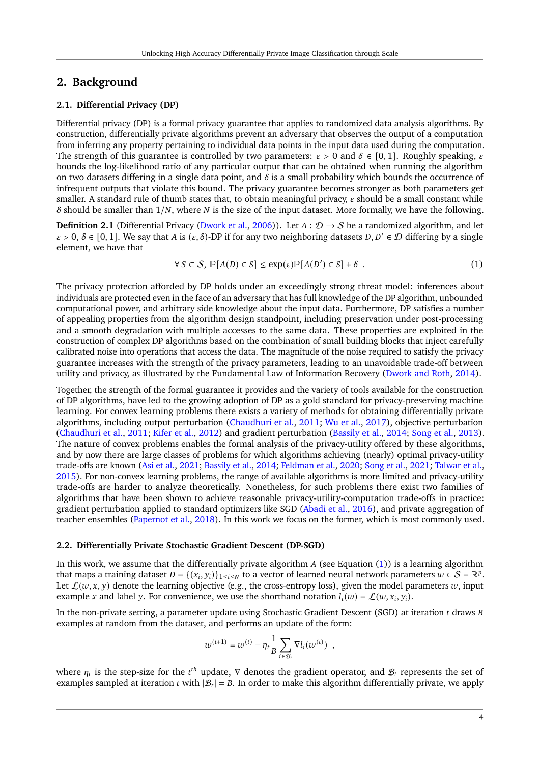### **2. Background**

#### **2.1. Differential Privacy (DP)**

Differential privacy (DP) is a formal privacy guarantee that applies to randomized data analysis algorithms. By construction, differentially private algorithms prevent an adversary that observes the output of a computation from inferring any property pertaining to individual data points in the input data used during the computation. The strength of this guarantee is controlled by two parameters:  $\varepsilon > 0$  and  $\delta \in [0, 1]$ . Roughly speaking,  $\varepsilon$ bounds the log-likelihood ratio of any particular output that can be obtained when running the algorithm on two datasets differing in a single data point, and  $\delta$  is a small probability which bounds the occurrence of infrequent outputs that violate this bound. The privacy guarantee becomes stronger as both parameters get smaller. A standard rule of thumb states that, to obtain meaningful privacy,  $\varepsilon$  should be a small constant while  $\delta$  should be smaller than  $1/N$ , where N is the size of the input dataset. More formally, we have the following.

**Definition 2.1** (Differential Privacy [\(Dwork et al.,](#page-18-0) [2006\)](#page-18-0)). Let  $A: \mathcal{D} \to S$  be a randomized algorithm, and let  $\varepsilon > 0$ ,  $\delta \in [0, 1]$ . We say that A is  $(\varepsilon, \delta)$ -DP if for any two neighboring datasets  $D, D' \in \mathcal{D}$  differing by a single element, we have that

<span id="page-3-0"></span>
$$
\forall S \subset \mathcal{S}, \, \mathbb{P}[A(D) \in S] \le \exp(\varepsilon) \mathbb{P}[A(D') \in S] + \delta \quad . \tag{1}
$$

The privacy protection afforded by DP holds under an exceedingly strong threat model: inferences about individuals are protected even in the face of an adversary that has full knowledge of the DP algorithm, unbounded computational power, and arbitrary side knowledge about the input data. Furthermore, DP satisfies a number of appealing properties from the algorithm design standpoint, including preservation under post-processing and a smooth degradation with multiple accesses to the same data. These properties are exploited in the construction of complex DP algorithms based on the combination of small building blocks that inject carefully calibrated noise into operations that access the data. The magnitude of the noise required to satisfy the privacy guarantee increases with the strength of the privacy parameters, leading to an unavoidable trade-off between utility and privacy, as illustrated by the Fundamental Law of Information Recovery [\(Dwork and Roth,](#page-18-6) [2014\)](#page-18-6).

Together, the strength of the formal guarantee it provides and the variety of tools available for the construction of DP algorithms, have led to the growing adoption of DP as a gold standard for privacy-preserving machine learning. For convex learning problems there exists a variety of methods for obtaining differentially private algorithms, including output perturbation [\(Chaudhuri et al.,](#page-17-9) [2011;](#page-17-9) [Wu et al.,](#page-21-6) [2017\)](#page-21-6), objective perturbation [\(Chaudhuri et al.,](#page-17-9) [2011;](#page-17-9) [Kifer et al.,](#page-18-7) [2012\)](#page-18-7) and gradient perturbation [\(Bassily et al.,](#page-17-10) [2014;](#page-17-10) [Song et al.,](#page-20-4) [2013\)](#page-20-4). The nature of convex problems enables the formal analysis of the privacy-utility offered by these algorithms, and by now there are large classes of problems for which algorithms achieving (nearly) optimal privacy-utility trade-offs are known [\(Asi et al.,](#page-16-3) [2021;](#page-16-3) [Bassily et al.,](#page-17-10) [2014;](#page-17-10) [Feldman et al.,](#page-18-8) [2020;](#page-18-8) [Song et al.,](#page-20-5) [2021;](#page-20-5) [Talwar et al.,](#page-20-6) [2015\)](#page-20-6). For non-convex learning problems, the range of available algorithms is more limited and privacy-utility trade-offs are harder to analyze theoretically. Nonetheless, for such problems there exist two families of algorithms that have been shown to achieve reasonable privacy-utility-computation trade-offs in practice: gradient perturbation applied to standard optimizers like SGD [\(Abadi et al.,](#page-16-2) [2016\)](#page-16-2), and private aggregation of teacher ensembles [\(Papernot et al.,](#page-19-8) [2018\)](#page-19-8). In this work we focus on the former, which is most commonly used.

#### <span id="page-3-1"></span>**2.2. Differentially Private Stochastic Gradient Descent (DP-SGD)**

In this work, we assume that the differentially private algorithm  $A$  (see Equation [\(1\)](#page-3-0)) is a learning algorithm that maps a training dataset  $D = \{(x_i, y_i)\}_{1 \le i \le N}$  to a vector of learned neural network parameters  $w \in S = \mathbb{R}^p$ . Let  $\mathcal{L}(w, x, y)$  denote the learning objective (e.g., the cross-entropy loss), given the model parameters w, input example x and label y. For convenience, we use the shorthand notation  $l_i(w) = \mathcal{L}(w, x_i, y_i)$ .

In the non-private setting, a parameter update using Stochastic Gradient Descent (SGD) at iteration  $t$  draws  $B$ examples at random from the dataset, and performs an update of the form:

$$
w^{(t+1)} = w^{(t)} - \eta_t \frac{1}{B} \sum_{i \in \mathcal{B}_t} \nabla l_i(w^{(t)}) \enspace ,
$$

where  $\eta_t$  is the step-size for the  $t^{th}$  update,  $\nabla$  denotes the gradient operator, and  $\mathcal{B}_t$  represents the set of examples sampled at iteration *t* with  $|\mathcal{B}_t| = B$ . In order to make this algorithm differentially private, we apply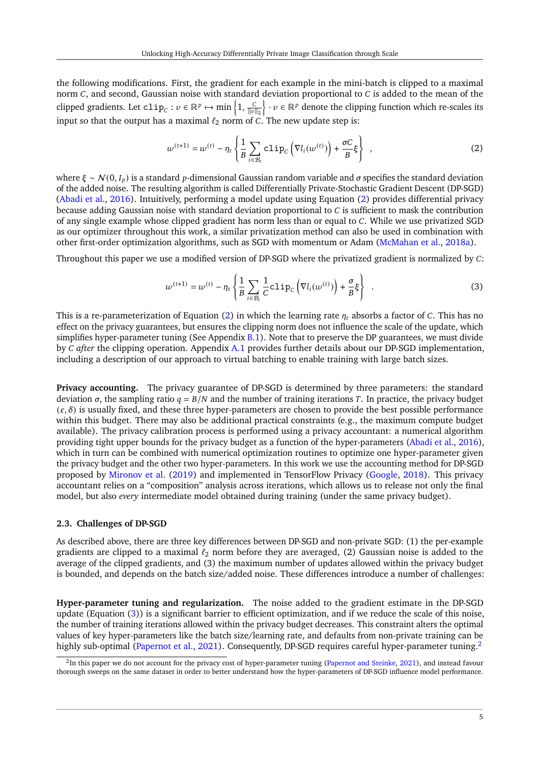the following modifications. First, the gradient for each example in the mini-batch is clipped to a maximal norm  $C$ , and second, Gaussian noise with standard deviation proportional to  $C$  is added to the mean of the clipped gradients. Let  $\text{clip}_C: v \in \mathbb{R}^p \mapsto \min\left\{1, \frac{C}{\|v\|_2}\right\} \cdot v \in \mathbb{R}^p$  denote the clipping function which re-scales its input so that the output has a maximal  $\ell_2$  norm of C. The new update step is:

<span id="page-4-0"></span>
$$
w^{(t+1)} = w^{(t)} - \eta_t \left\{ \frac{1}{B} \sum_{i \in \mathcal{B}_t} \text{clip}_C \left( \nabla l_i(w^{(t)}) \right) + \frac{\sigma C}{B} \xi \right\},\tag{2}
$$

where  $\xi \sim N(0, I_n)$  is a standard p-dimensional Gaussian random variable and σ specifies the standard deviation of the added noise. The resulting algorithm is called Differentially Private-Stochastic Gradient Descent (DP-SGD) [\(Abadi et al.,](#page-16-2) [2016\)](#page-16-2). Intuitively, performing a model update using Equation [\(2\)](#page-4-0) provides differential privacy because adding Gaussian noise with standard deviation proportional to  $C$  is sufficient to mask the contribution of any single example whose clipped gradient has norm less than or equal to C. While we use privatized SGD as our optimizer throughout this work, a similar privatization method can also be used in combination with other first-order optimization algorithms, such as SGD with momentum or Adam [\(McMahan et al.,](#page-19-9) [2018a\)](#page-19-9).

Throughout this paper we use a modified version of DP-SGD where the privatized gradient is normalized by  $C$ :

<span id="page-4-1"></span>
$$
w^{(t+1)} = w^{(t)} - \eta_t \left\{ \frac{1}{B} \sum_{i \in \mathcal{B}_t} \frac{1}{C} c \text{lip}_C \left( \nabla l_i(w^{(t)}) \right) + \frac{\sigma}{B} \xi \right\} \quad . \tag{3}
$$

This is a re-parameterization of Equation [\(2\)](#page-4-0) in which the learning rate  $\eta_t$  absorbs a factor of C. This has no effect on the privacy guarantees, but ensures the clipping norm does not influence the scale of the update, which simplifies hyper-parameter tuning (See Appendix  $B.1$ ). Note that to preserve the DP guarantees, we must divide by *after* the clipping operation. Appendix [A.1](#page-22-1) provides further details about our DP-SGD implementation, including a description of our approach to virtual batching to enable training with large batch sizes.

**Privacy accounting.** The privacy guarantee of DP-SGD is determined by three parameters: the standard deviation  $\sigma$ , the sampling ratio  $q = B/N$  and the number of training iterations T. In practice, the privacy budget  $(\varepsilon, \delta)$  is usually fixed, and these three hyper-parameters are chosen to provide the best possible performance within this budget. There may also be additional practical constraints (e.g., the maximum compute budget available). The privacy calibration process is performed using a privacy accountant: a numerical algorithm providing tight upper bounds for the privacy budget as a function of the hyper-parameters [\(Abadi et al.,](#page-16-2) [2016\)](#page-16-2), which in turn can be combined with numerical optimization routines to optimize one hyper-parameter given the privacy budget and the other two hyper-parameters. In this work we use the accounting method for DP-SGD proposed by [Mironov et al.](#page-19-3) [\(2019\)](#page-19-3) and implemented in TensorFlow Privacy [\(Google,](#page-18-9) [2018\)](#page-18-9). This privacy accountant relies on a "composition" analysis across iterations, which allows us to release not only the final model, but also *every* intermediate model obtained during training (under the same privacy budget).

#### **2.3. Challenges of DP-SGD**

As described above, there are three key differences between DP-SGD and non-private SGD: (1) the per-example gradients are clipped to a maximal  $\ell_2$  norm before they are averaged, (2) Gaussian noise is added to the average of the clipped gradients, and (3) the maximum number of updates allowed within the privacy budget is bounded, and depends on the batch size/added noise. These differences introduce a number of challenges:

**Hyper-parameter tuning and regularization.** The noise added to the gradient estimate in the DP-SGD update (Equation [\(3\)](#page-4-1)) is a significant barrier to efficient optimization, and if we reduce the scale of this noise, the number of training iterations allowed within the privacy budget decreases. This constraint alters the optimal values of key hyper-parameters like the batch size/learning rate, and defaults from non-private training can be highly sub-optimal [\(Papernot et al.,](#page-19-5) [2021\)](#page-19-5). Consequently, DP-SGD requires careful hyper-parameter tuning.<sup>[2](#page-4-2)</sup>

<span id="page-4-2"></span><sup>&</sup>lt;sup>2</sup>In this paper we do not account for the privacy cost of hyper-parameter tuning [\(Papernot and Steinke,](#page-19-10) [2021\)](#page-19-10), and instead favour thorough sweeps on the same dataset in order to better understand how the hyper-parameters of DP-SGD influence model performance.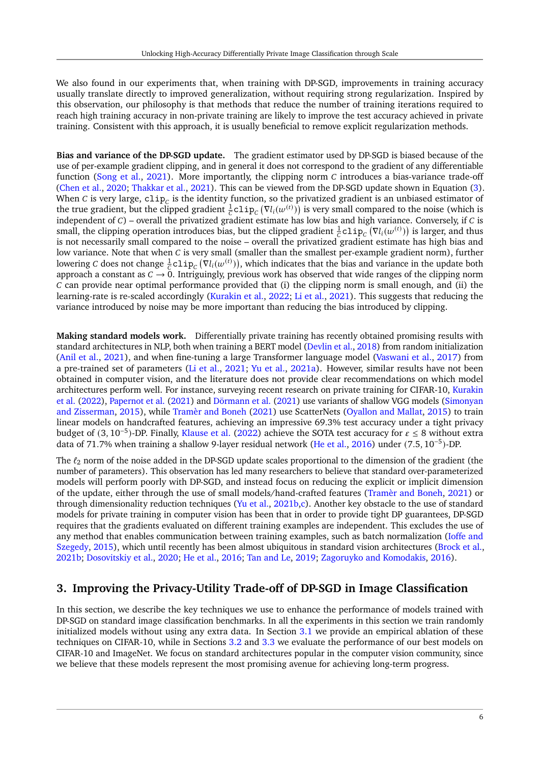We also found in our experiments that, when training with DP-SGD, improvements in training accuracy usually translate directly to improved generalization, without requiring strong regularization. Inspired by this observation, our philosophy is that methods that reduce the number of training iterations required to reach high training accuracy in non-private training are likely to improve the test accuracy achieved in private training. Consistent with this approach, it is usually beneficial to remove explicit regularization methods.

**Bias and variance of the DP-SGD update.** The gradient estimator used by DP-SGD is biased because of the use of per-example gradient clipping, and in general it does not correspond to the gradient of any differentiable function [\(Song et al.,](#page-20-5) [2021\)](#page-20-5). More importantly, the clipping norm  $C$  introduces a bias-variance trade-off [\(Chen et al.,](#page-17-11) [2020;](#page-17-11) [Thakkar et al.,](#page-20-7) [2021\)](#page-20-7). This can be viewed from the DP-SGD update shown in Equation [\(3\)](#page-4-1). When C is very large,  $\text{clip}_{C}$  is the identity function, so the privatized gradient is an unbiased estimator of the true gradient, but the clipped gradient  $\frac{1}{C}$ clip<sub>c</sub> ( $\nabla l_i(w^{(t)})$ ) is very small compared to the noise (which is independent of  $C$ ) – overall the privatized gradient estimate has low bias and high variance. Conversely, if  $C$  is small, the clipping operation introduces bias, but the clipped gradient  $\frac{1}{C}$ clip $\int_C (\nabla l_i(w^{(t)}))$  is larger, and thus is not necessarily small compared to the noise – overall the privatized gradient estimate has high bias and low variance. Note that when  $C$  is very small (smaller than the smallest per-example gradient norm), further lowering C does not change  $\frac{1}{C}$ clip<sub>C</sub> ( $\bar{v}_{l}(\omega^{(t)})$ ), which indicates that the bias and variance in the update both approach a constant as  $C \to 0$ . Intriguingly, previous work has observed that wide ranges of the clipping norm  $c$  can provide near optimal performance provided that (i) the clipping norm is small enough, and (ii) the learning-rate is re-scaled accordingly [\(Kurakin et al.,](#page-19-4) [2022;](#page-19-4) [Li et al.,](#page-19-11) [2021\)](#page-19-11). This suggests that reducing the variance introduced by noise may be more important than reducing the bias introduced by clipping.

**Making standard models work.** Differentially private training has recently obtained promising results with standard architectures in NLP, both when training a BERT model [\(Devlin et al.,](#page-17-12) [2018\)](#page-17-12) from random initialization [\(Anil et al.,](#page-16-4) [2021\)](#page-16-4), and when fine-tuning a large Transformer language model [\(Vaswani et al.,](#page-21-7) [2017\)](#page-21-7) from a pre-trained set of parameters [\(Li et al.,](#page-19-11) [2021;](#page-19-11) [Yu et al.,](#page-21-8) [2021a\)](#page-21-8). However, similar results have not been obtained in computer vision, and the literature does not provide clear recommendations on which model architectures perform well. For instance, surveying recent research on private training for CIFAR-10, [Kurakin](#page-19-4) [et al.](#page-19-4) [\(2022\)](#page-19-4), [Papernot et al.](#page-19-5) [\(2021\)](#page-19-5) and [Dörmann et al.](#page-17-6) [\(2021\)](#page-17-6) use variants of shallow VGG models [\(Simonyan](#page-20-8) [and Zisserman,](#page-20-8) [2015\)](#page-20-8), while [Tramèr and Boneh](#page-20-1) [\(2021\)](#page-20-1) use ScatterNets [\(Oyallon and Mallat,](#page-19-12) [2015\)](#page-19-12) to train linear models on handcrafted features, achieving an impressive 69.3% test accuracy under a tight privacy budget of (3, 10<sup>-5</sup>)-DP. Finally, [Klause et al.](#page-18-2) [\(2022\)](#page-18-2) achieve the SOTA test accuracy for  $\epsilon \le 8$  without extra data of 71.7% when training a shallow 9-layer residual network [\(He et al.,](#page-18-5) [2016\)](#page-18-5) under (7.5, 10−<sup>5</sup> )-DP.

The  $\ell_2$  norm of the noise added in the DP-SGD update scales proportional to the dimension of the gradient (the number of parameters). This observation has led many researchers to believe that standard over-parameterized models will perform poorly with DP-SGD, and instead focus on reducing the explicit or implicit dimension of the update, either through the use of small models/hand-crafted features [\(Tramèr and Boneh,](#page-20-1) [2021\)](#page-20-1) or through dimensionality reduction techniques [\(Yu et al.,](#page-21-1) [2021b](#page-21-1)[,c\)](#page-21-9). Another key obstacle to the use of standard models for private training in computer vision has been that in order to provide tight DP guarantees, DP-SGD requires that the gradients evaluated on different training examples are independent. This excludes the use of any method that enables communication between training examples, such as batch normalization [\(Ioffe and](#page-18-10) [Szegedy,](#page-18-10) [2015\)](#page-18-10), which until recently has been almost ubiquitous in standard vision architectures [\(Brock et al.,](#page-17-5) [2021b;](#page-17-5) [Dosovitskiy et al.,](#page-17-13) [2020;](#page-17-13) [He et al.,](#page-18-5) [2016;](#page-18-5) [Tan and Le,](#page-20-9) [2019;](#page-20-9) [Zagoruyko and Komodakis,](#page-21-5) [2016\)](#page-21-5).

### <span id="page-5-0"></span>**3. Improving the Privacy-Utility Trade-off of DP-SGD in Image Classification**

<span id="page-5-1"></span>In this section, we describe the key techniques we use to enhance the performance of models trained with DP-SGD on standard image classification benchmarks. In all the experiments in this section we train randomly initialized models without using any extra data. In Section [3.1](#page-5-1) we provide an empirical ablation of these techniques on CIFAR-10, while in Sections [3.2](#page-8-0) and [3.3](#page-9-0) we evaluate the performance of our best models on CIFAR-10 and ImageNet. We focus on standard architectures popular in the computer vision community, since we believe that these models represent the most promising avenue for achieving long-term progress.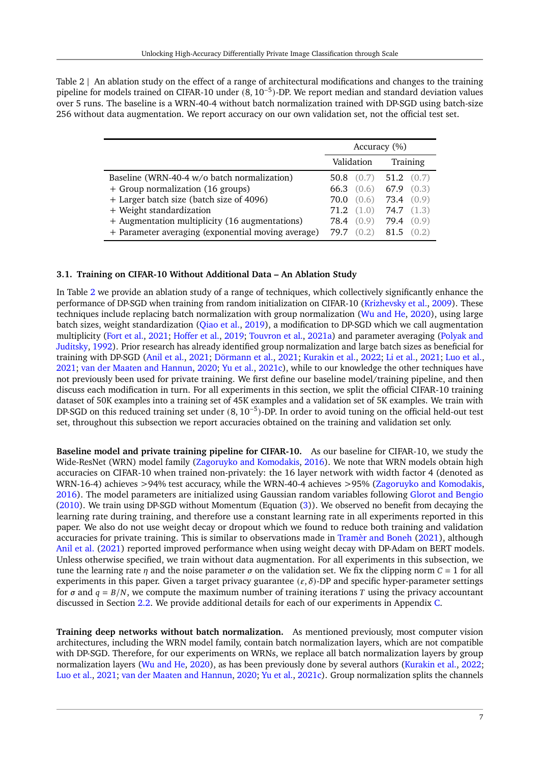<span id="page-6-0"></span>Table 2 | An ablation study on the effect of a range of architectural modifications and changes to the training pipeline for models trained on CIFAR-10 under (8, 10−<sup>5</sup> )-DP. We report median and standard deviation values over 5 runs. The baseline is a WRN-40-4 without batch normalization trained with DP-SGD using batch-size 256 without data augmentation. We report accuracy on our own validation set, not the official test set.

|                                                                                                      | Accuracy (%)                               |                             |
|------------------------------------------------------------------------------------------------------|--------------------------------------------|-----------------------------|
|                                                                                                      | Validation                                 | Training                    |
| Baseline (WRN-40-4 w/o batch normalization)                                                          | 50.8 $(0.7)$ 51.2 $(0.7)$                  |                             |
| + Group normalization (16 groups)<br>+ Larger batch size (batch size of 4096)                        | 66.3 (0.6) 67.9 (0.3)<br>70.0              | $(0.6)$ <b>73.4</b> $(0.9)$ |
| + Weight standardization                                                                             | $71.2$ $(1.0)$ $74.7$ $(1.3)$              |                             |
| + Augmentation multiplicity (16 augmentations)<br>+ Parameter averaging (exponential moving average) | 78.4 $(0.9)$ 79.4 $(0.9)$<br>(0.2)<br>79.7 | 81.5<br>(0.2)               |

### **3.1. Training on CIFAR-10 Without Additional Data – An Ablation Study**

In Table [2](#page-6-0) we provide an ablation study of a range of techniques, which collectively significantly enhance the performance of DP-SGD when training from random initialization on CIFAR-10 [\(Krizhevsky et al.,](#page-19-13) [2009\)](#page-19-13). These techniques include replacing batch normalization with group normalization [\(Wu and He,](#page-21-10) [2020\)](#page-21-10), using large batch sizes, weight standardization [\(Qiao et al.,](#page-20-2) [2019\)](#page-20-2), a modification to DP-SGD which we call augmentation multiplicity [\(Fort et al.,](#page-18-11) [2021;](#page-18-11) [Hoffer et al.,](#page-18-4) [2019;](#page-18-4) [Touvron et al.,](#page-20-10) [2021a\)](#page-20-10) and parameter averaging [\(Polyak and](#page-19-7) [Juditsky,](#page-19-7) [1992\)](#page-19-7). Prior research has already identified group normalization and large batch sizes as beneficial for training with DP-SGD [\(Anil et al.,](#page-16-4) [2021;](#page-16-4) [Dörmann et al.,](#page-17-6) [2021;](#page-17-6) [Kurakin et al.,](#page-19-4) [2022;](#page-19-4) [Li et al.,](#page-19-11) [2021;](#page-19-11) [Luo et al.,](#page-19-14) [2021;](#page-19-14) [van der Maaten and Hannun,](#page-21-4) [2020;](#page-21-4) [Yu et al.,](#page-21-9) [2021c\)](#page-21-9), while to our knowledge the other techniques have not previously been used for private training. We first define our baseline model/training pipeline, and then discuss each modification in turn. For all experiments in this section, we split the official CIFAR-10 training dataset of 50K examples into a training set of 45K examples and a validation set of 5K examples. We train with DP-SGD on this reduced training set under (8, 10−<sup>5</sup> )-DP. In order to avoid tuning on the official held-out test set, throughout this subsection we report accuracies obtained on the training and validation set only.

**Baseline model and private training pipeline for CIFAR-10.** As our baseline for CIFAR-10, we study the Wide-ResNet (WRN) model family [\(Zagoruyko and Komodakis,](#page-21-5) [2016\)](#page-21-5). We note that WRN models obtain high accuracies on CIFAR-10 when trained non-privately: the 16 layer network with width factor 4 (denoted as WRN-16-4) achieves >94% test accuracy, while the WRN-40-4 achieves >95% [\(Zagoruyko and Komodakis,](#page-21-5) [2016\)](#page-21-5). The model parameters are initialized using Gaussian random variables following [Glorot and Bengio](#page-18-12) [\(2010\)](#page-18-12). We train using DP-SGD without Momentum (Equation [\(3\)](#page-4-1)). We observed no benefit from decaying the learning rate during training, and therefore use a constant learning rate in all experiments reported in this paper. We also do not use weight decay or dropout which we found to reduce both training and validation accuracies for private training. This is similar to observations made in [Tramèr and Boneh](#page-20-1) [\(2021\)](#page-20-1), although [Anil et al.](#page-16-4) [\(2021\)](#page-16-4) reported improved performance when using weight decay with DP-Adam on BERT models. Unless otherwise specified, we train without data augmentation. For all experiments in this subsection, we tune the learning rate  $\eta$  and the noise parameter  $\sigma$  on the validation set. We fix the clipping norm  $C = 1$  for all experiments in this paper. Given a target privacy guarantee  $(\varepsilon, \delta)$ -DP and specific hyper-parameter settings for  $\sigma$  and  $q = B/N$ , we compute the maximum number of training iterations T using the privacy accountant discussed in Section [2.2.](#page-3-1) We provide additional details for each of our experiments in Appendix [C.](#page-29-0)

**Training deep networks without batch normalization.** As mentioned previously, most computer vision architectures, including the WRN model family, contain batch normalization layers, which are not compatible with DP-SGD. Therefore, for our experiments on WRNs, we replace all batch normalization layers by group normalization layers [\(Wu and He,](#page-21-10) [2020\)](#page-21-10), as has been previously done by several authors [\(Kurakin et al.,](#page-19-4) [2022;](#page-19-4) [Luo et al.,](#page-19-14) [2021;](#page-19-14) [van der Maaten and Hannun,](#page-21-4) [2020;](#page-21-4) [Yu et al.,](#page-21-9) [2021c\)](#page-21-9). Group normalization splits the channels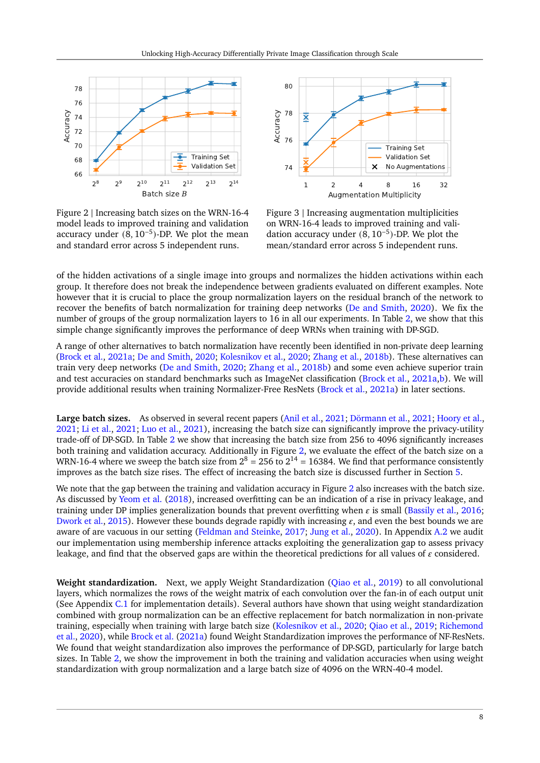<span id="page-7-0"></span>



Figure 2 | Increasing batch sizes on the WRN-16-4 model leads to improved training and validation accuracy under  $(8, 10^{-5})$ -DP. We plot the mean and standard error across 5 independent runs.

Figure 3 | Increasing augmentation multiplicities on WRN-16-4 leads to improved training and validation accuracy under  $(8, 10^{-5})$ -DP. We plot the mean/standard error across 5 independent runs.

of the hidden activations of a single image into groups and normalizes the hidden activations within each group. It therefore does not break the independence between gradients evaluated on different examples. Note however that it is crucial to place the group normalization layers on the residual branch of the network to recover the benefits of batch normalization for training deep networks [\(De and Smith,](#page-17-14) [2020\)](#page-17-14). We fix the number of groups of the group normalization layers to 16 in all our experiments. In Table [2,](#page-6-0) we show that this simple change significantly improves the performance of deep WRNs when training with DP-SGD.

A range of other alternatives to batch normalization have recently been identified in non-private deep learning [\(Brock et al.,](#page-17-7) [2021a;](#page-17-7) [De and Smith,](#page-17-14) [2020;](#page-17-14) [Kolesnikov et al.,](#page-19-15) [2020;](#page-19-15) [Zhang et al.,](#page-21-11) [2018b\)](#page-21-11). These alternatives can train very deep networks [\(De and Smith,](#page-17-14) [2020;](#page-17-14) [Zhang et al.,](#page-21-11) [2018b\)](#page-21-11) and some even achieve superior train and test accuracies on standard benchmarks such as ImageNet classification [\(Brock et al.,](#page-17-7) [2021a,](#page-17-7)[b\)](#page-17-5). We will provide additional results when training Normalizer-Free ResNets [\(Brock et al.,](#page-17-7) [2021a\)](#page-17-7) in later sections.

**Large batch sizes.** As observed in several recent papers [\(Anil et al.,](#page-16-4) [2021;](#page-16-4) [Dörmann et al.,](#page-17-6) [2021;](#page-17-6) [Hoory et al.,](#page-18-13) [2021;](#page-18-13) [Li et al.,](#page-19-11) [2021;](#page-19-11) [Luo et al.,](#page-19-14) [2021\)](#page-19-14), increasing the batch size can significantly improve the privacy-utility trade-off of DP-SGD. In Table [2](#page-6-0) we show that increasing the batch size from 256 to 4096 significantly increases both training and validation accuracy. Additionally in Figure [2,](#page-7-0) we evaluate the effect of the batch size on a WRN-16-4 where we sweep the batch size from  $2^8 = 256$  to  $2^{14} = 16384$ . We find that performance consistently improves as the batch size rises. The effect of increasing the batch size is discussed further in Section [5.](#page-13-1)

We note that the gap between the training and validation accuracy in Figure [2](#page-7-0) also increases with the batch size. As discussed by [Yeom et al.](#page-21-12) [\(2018\)](#page-21-12), increased overfitting can be an indication of a rise in privacy leakage, and training under DP implies generalization bounds that prevent overfitting when  $\varepsilon$  is small [\(Bassily et al.,](#page-17-15) [2016;](#page-17-15) [Dwork et al.,](#page-18-14) [2015\)](#page-18-14). However these bounds degrade rapidly with increasing  $\varepsilon$ , and even the best bounds we are aware of are vacuous in our setting [\(Feldman and Steinke,](#page-18-15) [2017;](#page-18-15) [Jung et al.,](#page-18-16) [2020\)](#page-18-16). In Appendix [A.2](#page-24-0) we audit our implementation using membership inference attacks exploiting the generalization gap to assess privacy leakage, and find that the observed gaps are within the theoretical predictions for all values of  $\varepsilon$  considered.

**Weight standardization.** Next, we apply Weight Standardization [\(Qiao et al.,](#page-20-2) [2019\)](#page-20-2) to all convolutional layers, which normalizes the rows of the weight matrix of each convolution over the fan-in of each output unit (See Appendix [C.1](#page-29-1) for implementation details). Several authors have shown that using weight standardization combined with group normalization can be an effective replacement for batch normalization in non-private training, especially when training with large batch size [\(Kolesnikov et al.,](#page-19-15) [2020;](#page-19-15) [Qiao et al.,](#page-20-2) [2019;](#page-20-2) [Richemond](#page-20-11) [et al.,](#page-20-11) [2020\)](#page-20-11), while [Brock et al.](#page-17-7) [\(2021a\)](#page-17-7) found Weight Standardization improves the performance of NF-ResNets. We found that weight standardization also improves the performance of DP-SGD, particularly for large batch sizes. In Table [2,](#page-6-0) we show the improvement in both the training and validation accuracies when using weight standardization with group normalization and a large batch size of 4096 on the WRN-40-4 model.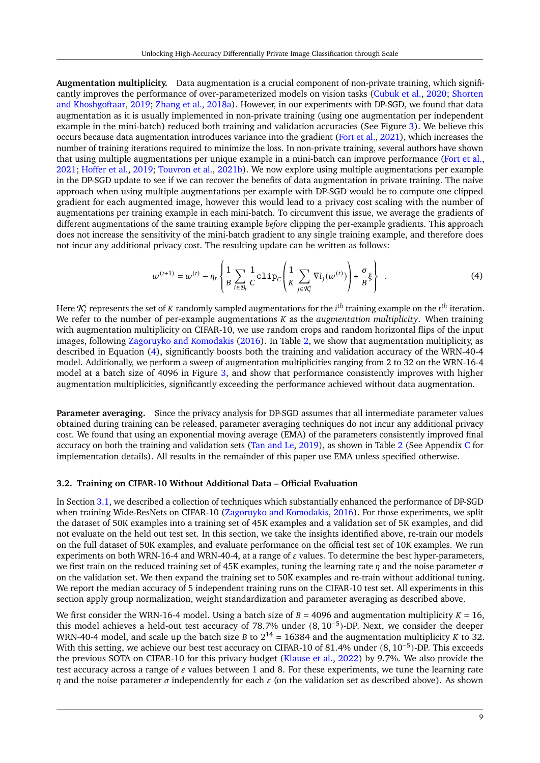**Augmentation multiplicity.** Data augmentation is a crucial component of non-private training, which significantly improves the performance of over-parameterized models on vision tasks [\(Cubuk et al.,](#page-17-16) [2020;](#page-17-16) [Shorten](#page-20-12) [and Khoshgoftaar,](#page-20-12) [2019;](#page-20-12) [Zhang et al.,](#page-21-13) [2018a\)](#page-21-13). However, in our experiments with DP-SGD, we found that data augmentation as it is usually implemented in non-private training (using one augmentation per independent example in the mini-batch) reduced both training and validation accuracies (See Figure [3\)](#page-7-0). We believe this occurs because data augmentation introduces variance into the gradient [\(Fort et al.,](#page-18-11) [2021\)](#page-18-11), which increases the number of training iterations required to minimize the loss. In non-private training, several authors have shown that using multiple augmentations per unique example in a mini-batch can improve performance [\(Fort et al.,](#page-18-11) [2021;](#page-18-11) [Hoffer et al.,](#page-18-4) [2019;](#page-18-4) [Touvron et al.,](#page-20-13) [2021b\)](#page-20-13). We now explore using multiple augmentations per example in the DP-SGD update to see if we can recover the benefits of data augmentation in private training. The naive approach when using multiple augmentations per example with DP-SGD would be to compute one clipped gradient for each augmented image, however this would lead to a privacy cost scaling with the number of augmentations per training example in each mini-batch. To circumvent this issue, we average the gradients of different augmentations of the same training example *before* clipping the per-example gradients. This approach does not increase the sensitivity of the mini-batch gradient to any single training example, and therefore does not incur any additional privacy cost. The resulting update can be written as follows:

<span id="page-8-1"></span>
$$
w^{(t+1)} = w^{(t)} - \eta_t \left\{ \frac{1}{B} \sum_{i \in \mathcal{B}_t} \frac{1}{C} c \text{lip}_C \left( \frac{1}{K} \sum_{j \in \mathcal{R}_t^i} \nabla l_j(w^{(t)}) \right) + \frac{\sigma}{B} \xi \right\} \tag{4}
$$

Here  $\mathcal{K}^i_t$  represents the set of  $K$  randomly sampled augmentations for the  $i^{th}$  training example on the  $t^{th}$  iteration. We refer to the number of per-example augmentations  $K$  as the *augmentation multiplicity*. When training with augmentation multiplicity on CIFAR-10, we use random crops and random horizontal flips of the input images, following [Zagoruyko and Komodakis](#page-21-5) [\(2016\)](#page-21-5). In Table [2,](#page-6-0) we show that augmentation multiplicity, as described in Equation [\(4\)](#page-8-1), significantly boosts both the training and validation accuracy of the WRN-40-4 model. Additionally, we perform a sweep of augmentation multiplicities ranging from 2 to 32 on the WRN-16-4 model at a batch size of 4096 in Figure [3,](#page-7-0) and show that performance consistently improves with higher augmentation multiplicities, significantly exceeding the performance achieved without data augmentation.

**Parameter averaging.** Since the privacy analysis for DP-SGD assumes that all intermediate parameter values obtained during training can be released, parameter averaging techniques do not incur any additional privacy cost. We found that using an exponential moving average (EMA) of the parameters consistently improved final accuracy on both the training and validation sets [\(Tan and Le,](#page-20-9) [2019\)](#page-20-9), as shown in Table [2](#page-6-0) (See Appendix [C](#page-29-0) for implementation details). All results in the remainder of this paper use EMA unless specified otherwise.

#### <span id="page-8-0"></span>**3.2. Training on CIFAR-10 Without Additional Data – Official Evaluation**

In Section [3.1,](#page-5-1) we described a collection of techniques which substantially enhanced the performance of DP-SGD when training Wide-ResNets on CIFAR-10 [\(Zagoruyko and Komodakis,](#page-21-5) [2016\)](#page-21-5). For those experiments, we split the dataset of 50K examples into a training set of 45K examples and a validation set of 5K examples, and did not evaluate on the held out test set. In this section, we take the insights identified above, re-train our models on the full dataset of 50K examples, and evaluate performance on the official test set of 10K examples. We run experiments on both WRN-16-4 and WRN-40-4, at a range of  $\varepsilon$  values. To determine the best hyper-parameters, we first train on the reduced training set of 45K examples, tuning the learning rate  $\eta$  and the noise parameter  $\sigma$ on the validation set. We then expand the training set to 50K examples and re-train without additional tuning. We report the median accuracy of 5 independent training runs on the CIFAR-10 test set. All experiments in this section apply group normalization, weight standardization and parameter averaging as described above.

We first consider the WRN-16-4 model. Using a batch size of  $B = 4096$  and augmentation multiplicity  $K = 16$ , this model achieves a held-out test accuracy of 78.7% under (8, 10−<sup>5</sup> )-DP. Next, we consider the deeper WRN-40-4 model, and scale up the batch size *B* to  $2^{14} = 16384$  and the augmentation multiplicity *K* to 32. With this setting, we achieve our best test accuracy on CIFAR-10 of 81.4% under (8, 10−<sup>5</sup> )-DP. This exceeds the previous SOTA on CIFAR-10 for this privacy budget [\(Klause et al.,](#page-18-2) [2022\)](#page-18-2) by 9.7%. We also provide the test accuracy across a range of  $\varepsilon$  values between 1 and 8. For these experiments, we tune the learning rate  $\eta$  and the noise parameter  $\sigma$  independently for each  $\varepsilon$  (on the validation set as described above). As shown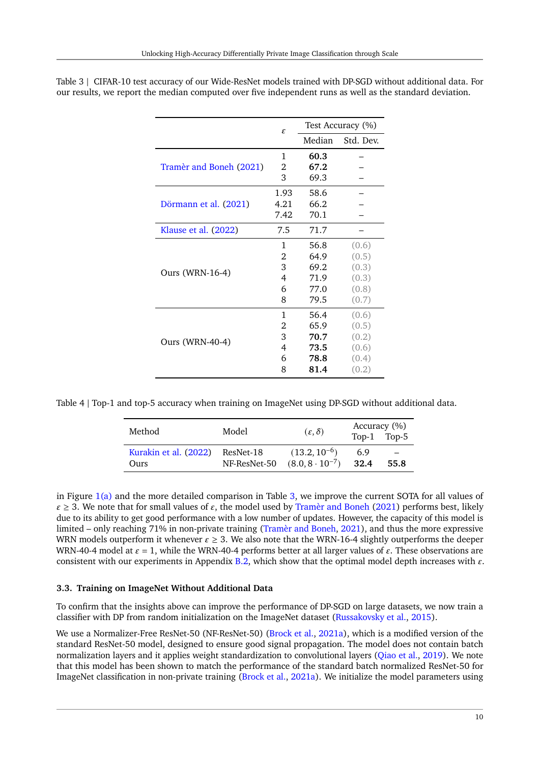|                         | $\mathcal{E}_{\mathcal{L}}$ |        | Test Accuracy (%) |
|-------------------------|-----------------------------|--------|-------------------|
|                         |                             | Median | Std. Dev.         |
|                         | 1                           | 60.3   |                   |
| Tramèr and Boneh (2021) | 2                           | 67.2   |                   |
|                         | 3                           | 69.3   |                   |
|                         | 1.93                        | 58.6   |                   |
| Dörmann et al. (2021)   | 4.21                        | 66.2   |                   |
|                         | 7.42                        | 70.1   |                   |
| Klause et al. (2022)    | 7.5                         | 71.7   |                   |
|                         | 1                           | 56.8   | (0.6)             |
|                         | 2                           | 64.9   | (0.5)             |
|                         | 3                           | 69.2   | (0.3)             |
| Ours (WRN-16-4)         | 4                           | 71.9   | (0.3)             |
|                         | 6                           | 77.0   | (0.8)             |
|                         | 8                           | 79.5   | (0.7)             |
|                         | 1                           | 56.4   | (0.6)             |
|                         | 2                           | 65.9   | (0.5)             |
|                         | 3                           | 70.7   | (0.2)             |
| Ours (WRN-40-4)         | 4                           | 73.5   | (0.6)             |
|                         | 6                           | 78.8   | (0.4)             |
|                         | 8                           | 81.4   | (0.2)             |

<span id="page-9-1"></span>Table 3 | CIFAR-10 test accuracy of our Wide-ResNet models trained with DP-SGD without additional data. For our results, we report the median computed over five independent runs as well as the standard deviation.

<span id="page-9-2"></span>Table 4 | Top-1 and top-5 accuracy when training on ImageNet using DP-SGD without additional data.

| Method                | Model        | $(\varepsilon, \delta)$  | Accuracy (%) | Top-1 Top-5 |
|-----------------------|--------------|--------------------------|--------------|-------------|
| Kurakin et al. (2022) | ResNet-18    | $(13.2, 10^{-6})$        | 6.9          | 55.8        |
| Ours                  | NF-ResNet-50 | $(8.0, 8 \cdot 10^{-7})$ | 32.4         |             |

in Figure [1\(a\)](#page-1-0) and the more detailed comparison in Table [3,](#page-9-1) we improve the current SOTA for all values of  $\epsilon \geq 3$ . We note that for small values of  $\epsilon$ , the model used by [Tramèr and Boneh](#page-20-1) [\(2021\)](#page-20-1) performs best, likely due to its ability to get good performance with a low number of updates. However, the capacity of this model is limited – only reaching 71% in non-private training [\(Tramèr and Boneh,](#page-20-1) [2021\)](#page-20-1), and thus the more expressive WRN models outperform it whenever  $\varepsilon \geq 3$ . We also note that the WRN-16-4 slightly outperforms the deeper WRN-40-4 model at  $\varepsilon = 1$ , while the WRN-40-4 performs better at all larger values of  $\varepsilon$ . These observations are consistent with our experiments in Appendix [B.2,](#page-26-1) which show that the optimal model depth increases with  $\varepsilon$ .

### <span id="page-9-0"></span>**3.3. Training on ImageNet Without Additional Data**

To confirm that the insights above can improve the performance of DP-SGD on large datasets, we now train a classifier with DP from random initialization on the ImageNet dataset [\(Russakovsky et al.,](#page-20-14) [2015\)](#page-20-14).

We use a Normalizer-Free ResNet-50 (NF-ResNet-50) [\(Brock et al.,](#page-17-7) [2021a\)](#page-17-7), which is a modified version of the standard ResNet-50 model, designed to ensure good signal propagation. The model does not contain batch normalization layers and it applies weight standardization to convolutional layers [\(Qiao et al.,](#page-20-2) [2019\)](#page-20-2). We note that this model has been shown to match the performance of the standard batch normalized ResNet-50 for ImageNet classification in non-private training [\(Brock et al.,](#page-17-7) [2021a\)](#page-17-7). We initialize the model parameters using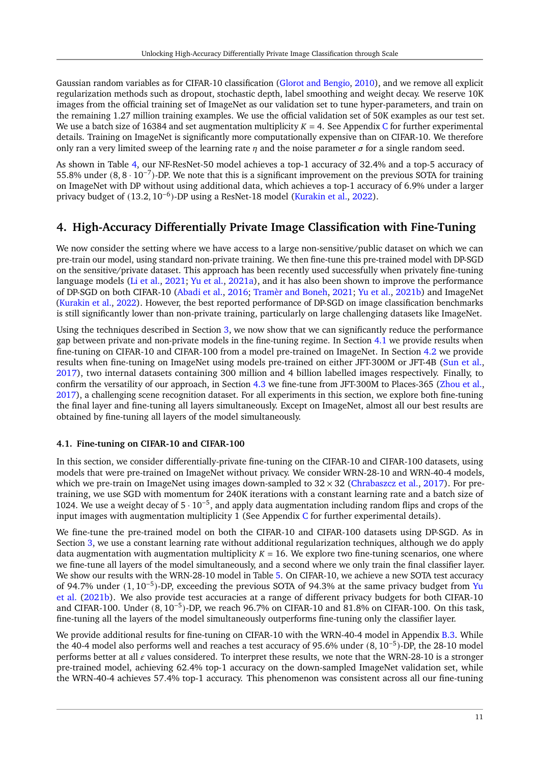Gaussian random variables as for CIFAR-10 classification [\(Glorot and Bengio,](#page-18-12) [2010\)](#page-18-12), and we remove all explicit regularization methods such as dropout, stochastic depth, label smoothing and weight decay. We reserve 10K images from the official training set of ImageNet as our validation set to tune hyper-parameters, and train on the remaining 1.27 million training examples. We use the official validation set of 50K examples as our test set. We use a batch size of 16384 and set augmentation multiplicity  $K = 4$ . See Appendix [C](#page-29-0) for further experimental details. Training on ImageNet is significantly more computationally expensive than on CIFAR-10. We therefore only ran a very limited sweep of the learning rate  $\eta$  and the noise parameter  $\sigma$  for a single random seed.

As shown in Table [4,](#page-9-2) our NF-ResNet-50 model achieves a top-1 accuracy of 32.4% and a top-5 accuracy of 55.8% under (8, 8 · 10−<sup>7</sup> )-DP. We note that this is a significant improvement on the previous SOTA for training on ImageNet with DP without using additional data, which achieves a top-1 accuracy of 6.9% under a larger privacy budget of (13.2, 10<sup>-6</sup>)-DP using a ResNet-18 model [\(Kurakin et al.,](#page-19-4) [2022\)](#page-19-4).

# <span id="page-10-1"></span>**4. High-Accuracy Differentially Private Image Classification with Fine-Tuning**

We now consider the setting where we have access to a large non-sensitive/public dataset on which we can pre-train our model, using standard non-private training. We then fine-tune this pre-trained model with DP-SGD on the sensitive/private dataset. This approach has been recently used successfully when privately fine-tuning language models [\(Li et al.,](#page-19-11) [2021;](#page-19-11) [Yu et al.,](#page-21-8) [2021a\)](#page-21-8), and it has also been shown to improve the performance of DP-SGD on both CIFAR-10 [\(Abadi et al.,](#page-16-2) [2016;](#page-16-2) [Tramèr and Boneh,](#page-20-1) [2021;](#page-20-1) [Yu et al.,](#page-21-1) [2021b\)](#page-21-1) and ImageNet [\(Kurakin et al.,](#page-19-4) [2022\)](#page-19-4). However, the best reported performance of DP-SGD on image classification benchmarks is still significantly lower than non-private training, particularly on large challenging datasets like ImageNet.

Using the techniques described in Section [3,](#page-5-0) we now show that we can significantly reduce the performance gap between private and non-private models in the fine-tuning regime. In Section [4.1](#page-10-0) we provide results when fine-tuning on CIFAR-10 and CIFAR-100 from a model pre-trained on ImageNet. In Section [4.2](#page-11-0) we provide results when fine-tuning on ImageNet using models pre-trained on either JFT-300M or JFT-4B [\(Sun et al.,](#page-20-3) [2017\)](#page-20-3), two internal datasets containing 300 million and 4 billion labelled images respectively. Finally, to confirm the versatility of our approach, in Section [4.3](#page-13-0) we fine-tune from JFT-300M to Places-365 [\(Zhou et al.,](#page-21-14) [2017\)](#page-21-14), a challenging scene recognition dataset. For all experiments in this section, we explore both fine-tuning the final layer and fine-tuning all layers simultaneously. Except on ImageNet, almost all our best results are obtained by fine-tuning all layers of the model simultaneously.

### <span id="page-10-0"></span>**4.1. Fine-tuning on CIFAR-10 and CIFAR-100**

In this section, we consider differentially-private fine-tuning on the CIFAR-10 and CIFAR-100 datasets, using models that were pre-trained on ImageNet without privacy. We consider WRN-28-10 and WRN-40-4 models, which we pre-train on ImageNet using images down-sampled to  $32 \times 32$  [\(Chrabaszcz et al.,](#page-17-17) [2017\)](#page-17-17). For pretraining, we use SGD with momentum for 240K iterations with a constant learning rate and a batch size of 1024. We use a weight decay of 5 · 10−<sup>5</sup> , and apply data augmentation including random flips and crops of the input images with augmentation multiplicity 1 (See Appendix  $C$  for further experimental details).

We fine-tune the pre-trained model on both the CIFAR-10 and CIFAR-100 datasets using DP-SGD. As in Section [3,](#page-5-0) we use a constant learning rate without additional regularization techniques, although we do apply data augmentation with augmentation multiplicity  $K = 16$ . We explore two fine-tuning scenarios, one where we fine-tune all layers of the model simultaneously, and a second where we only train the final classifier layer. We show our results with the WRN-28-10 model in Table [5.](#page-11-1) On CIFAR-10, we achieve a new SOTA test accuracy of 94.7% under (1, 10−<sup>5</sup> )-DP, exceeding the previous SOTA of 94.3% at the same privacy budget from [Yu](#page-21-1) [et al.](#page-21-1) [\(2021b\)](#page-21-1). We also provide test accuracies at a range of different privacy budgets for both CIFAR-10 and CIFAR-100. Under (8, 10−<sup>5</sup> )-DP, we reach 96.7% on CIFAR-10 and 81.8% on CIFAR-100. On this task, fine-tuning all the layers of the model simultaneously outperforms fine-tuning only the classifier layer.

We provide additional results for fine-tuning on CIFAR-10 with the WRN-40-4 model in Appendix [B.3.](#page-27-0) While the 40-4 model also performs well and reaches a test accuracy of 95.6% under (8, 10−<sup>5</sup> )-DP, the 28-10 model performs better at all  $\varepsilon$  values considered. To interpret these results, we note that the WRN-28-10 is a stronger pre-trained model, achieving 62.4% top-1 accuracy on the down-sampled ImageNet validation set, while the WRN-40-4 achieves 57.4% top-1 accuracy. This phenomenon was consistent across all our fine-tuning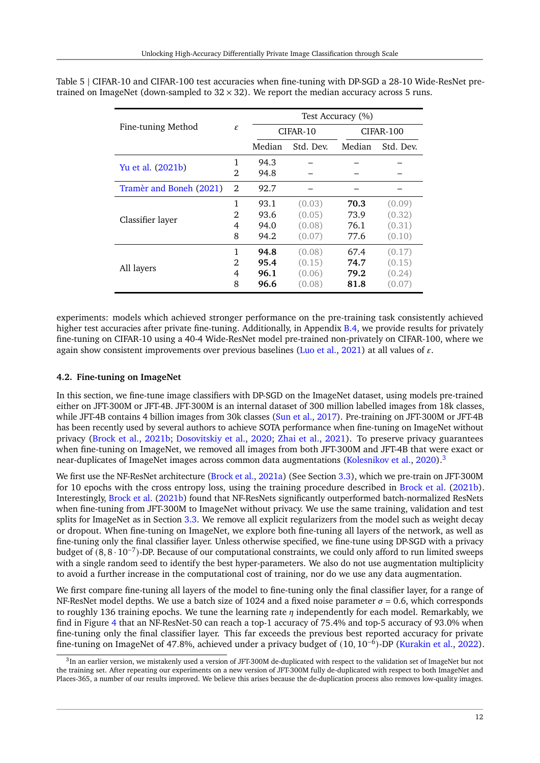|                         |   | Test Accuracy (%) |           |           |           |  |
|-------------------------|---|-------------------|-----------|-----------|-----------|--|
| Fine-tuning Method      |   |                   | CIFAR-10  | CIFAR-100 |           |  |
|                         |   | Median            | Std. Dev. | Median    | Std. Dev. |  |
| Yu et al. (2021b)       | 1 | 94.3              |           |           |           |  |
|                         | 2 | 94.8              |           |           |           |  |
| Tramèr and Boneh (2021) | 2 | 92.7              |           |           |           |  |
|                         | 1 | 93.1              | (0.03)    | 70.3      | (0.09)    |  |
| Classifier layer        | 2 | 93.6              | (0.05)    | 73.9      | (0.32)    |  |
|                         | 4 | 94.0              | (0.08)    | 76.1      | (0.31)    |  |
|                         | 8 | 94.2              | (0.07)    | 77.6      | (0.10)    |  |
|                         | 1 | 94.8              | (0.08)    | 67.4      | (0.17)    |  |
| All layers              | 2 | 95.4              | (0.15)    | 74.7      | (0.15)    |  |
|                         | 4 | 96.1              | (0.06)    | 79.2      | (0.24)    |  |
|                         | 8 | 96.6              | (0.08)    | 81.8      | (0.07)    |  |

<span id="page-11-1"></span>Table 5 | CIFAR-10 and CIFAR-100 test accuracies when fine-tuning with DP-SGD a 28-10 Wide-ResNet pretrained on ImageNet (down-sampled to  $32 \times 32$ ). We report the median accuracy across 5 runs.

experiments: models which achieved stronger performance on the pre-training task consistently achieved higher test accuracies after private fine-tuning. Additionally, in Appendix [B.4,](#page-27-1) we provide results for privately fine-tuning on CIFAR-10 using a 40-4 Wide-ResNet model pre-trained non-privately on CIFAR-100, where we again show consistent improvements over previous baselines [\(Luo et al.,](#page-19-14) [2021\)](#page-19-14) at all values of  $\varepsilon$ .

### <span id="page-11-0"></span>**4.2. Fine-tuning on ImageNet**

In this section, we fine-tune image classifiers with DP-SGD on the ImageNet dataset, using models pre-trained either on JFT-300M or JFT-4B. JFT-300M is an internal dataset of 300 million labelled images from 18k classes, while JFT-4B contains 4 billion images from 30k classes [\(Sun et al.,](#page-20-3) [2017\)](#page-20-3). Pre-training on JFT-300M or JFT-4B has been recently used by several authors to achieve SOTA performance when fine-tuning on ImageNet without privacy [\(Brock et al.,](#page-17-5) [2021b;](#page-17-5) [Dosovitskiy et al.,](#page-17-13) [2020;](#page-17-13) [Zhai et al.,](#page-21-15) [2021\)](#page-21-15). To preserve privacy guarantees when fine-tuning on ImageNet, we removed all images from both JFT-300M and JFT-4B that were exact or near-duplicates of ImageNet images across common data augmentations [\(Kolesnikov et al.,](#page-19-15) [2020\)](#page-19-15).<sup>[3](#page-11-2)</sup>

We first use the NF-ResNet architecture [\(Brock et al.,](#page-17-7) [2021a\)](#page-17-7) (See Section [3.3\)](#page-9-0), which we pre-train on JFT-300M for 10 epochs with the cross entropy loss, using the training procedure described in [Brock et al.](#page-17-5) [\(2021b\)](#page-17-5). Interestingly, [Brock et al.](#page-17-5) [\(2021b\)](#page-17-5) found that NF-ResNets significantly outperformed batch-normalized ResNets when fine-tuning from JFT-300M to ImageNet without privacy. We use the same training, validation and test splits for ImageNet as in Section [3.3.](#page-9-0) We remove all explicit regularizers from the model such as weight decay or dropout. When fine-tuning on ImageNet, we explore both fine-tuning all layers of the network, as well as fine-tuning only the final classifier layer. Unless otherwise specified, we fine-tune using DP-SGD with a privacy budget of (8, 8 · 10−<sup>7</sup> )-DP. Because of our computational constraints, we could only afford to run limited sweeps with a single random seed to identify the best hyper-parameters. We also do not use augmentation multiplicity to avoid a further increase in the computational cost of training, nor do we use any data augmentation.

We first compare fine-tuning all layers of the model to fine-tuning only the final classifier layer, for a range of NF-ResNet model depths. We use a batch size of 1024 and a fixed noise parameter  $\sigma = 0.6$ , which corresponds to roughly 136 training epochs. We tune the learning rate  $\eta$  independently for each model. Remarkably, we find in Figure [4](#page-12-0) that an NF-ResNet-50 can reach a top-1 accuracy of 75.4% and top-5 accuracy of 93.0% when fine-tuning only the final classifier layer. This far exceeds the previous best reported accuracy for private fine-tuning on ImageNet of 47.8%, achieved under a privacy budget of (10, 10−<sup>6</sup> )-DP [\(Kurakin et al.,](#page-19-4) [2022\)](#page-19-4).

<span id="page-11-2"></span> $3$ In an earlier version, we mistakenly used a version of JFT-300M de-duplicated with respect to the validation set of ImageNet but not the training set. After repeating our experiments on a new version of JFT-300M fully de-duplicated with respect to both ImageNet and Places-365, a number of our results improved. We believe this arises because the de-duplication process also removes low-quality images.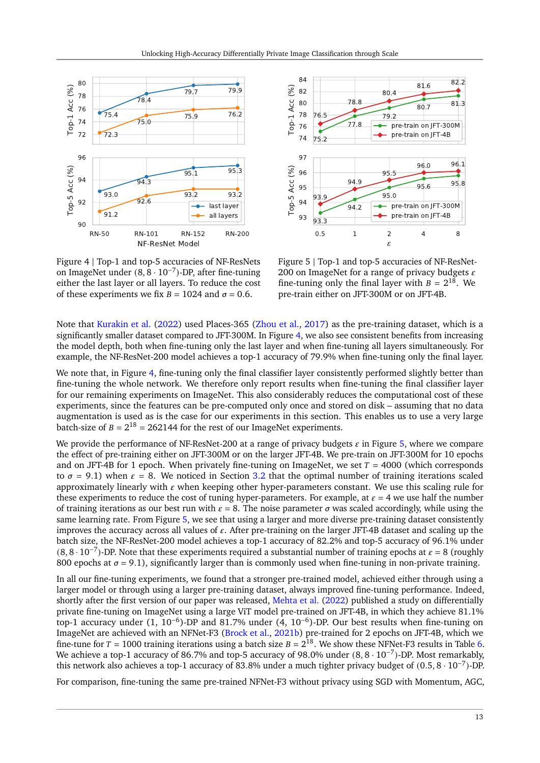<span id="page-12-0"></span>

Figure 4 | Top-1 and top-5 accuracies of NF-ResNets on ImageNet under (8, 8 · 10−<sup>7</sup> )-DP, after fine-tuning either the last layer or all layers. To reduce the cost of these experiments we fix  $B = 1024$  and  $\sigma = 0.6$ .



Figure 5 | Top-1 and top-5 accuracies of NF-ResNet-200 on ImageNet for a range of privacy budgets  $\varepsilon$ fine-tuning only the final layer with  $B = 2^{18}$ . We pre-train either on JFT-300M or on JFT-4B.

Note that [Kurakin et al.](#page-19-4) [\(2022\)](#page-19-4) used Places-365 [\(Zhou et al.,](#page-21-14) [2017\)](#page-21-14) as the pre-training dataset, which is a significantly smaller dataset compared to JFT-300M. In Figure [4,](#page-12-0) we also see consistent benefits from increasing the model depth, both when fine-tuning only the last layer and when fine-tuning all layers simultaneously. For example, the NF-ResNet-200 model achieves a top-1 accuracy of 79.9% when fine-tuning only the final layer.

We note that, in Figure [4,](#page-12-0) fine-tuning only the final classifier layer consistently performed slightly better than fine-tuning the whole network. We therefore only report results when fine-tuning the final classifier layer for our remaining experiments on ImageNet. This also considerably reduces the computational cost of these experiments, since the features can be pre-computed only once and stored on disk – assuming that no data augmentation is used as is the case for our experiments in this section. This enables us to use a very large batch-size of  $B = 2^{18} = 262144$  for the rest of our ImageNet experiments.

We provide the performance of NF-ResNet-200 at a range of privacy budgets  $\varepsilon$  in Figure [5,](#page-12-0) where we compare the effect of pre-training either on JFT-300M or on the larger JFT-4B. We pre-train on JFT-300M for 10 epochs and on JFT-4B for 1 epoch. When privately fine-tuning on ImageNet, we set  $T = 4000$  (which corresponds to  $\sigma = 9.1$ ) when  $\varepsilon = 8$ . We noticed in Section [3.2](#page-8-0) that the optimal number of training iterations scaled approximately linearly with  $\varepsilon$  when keeping other hyper-parameters constant. We use this scaling rule for these experiments to reduce the cost of tuning hyper-parameters. For example, at  $\varepsilon = 4$  we use half the number of training iterations as our best run with  $\varepsilon = 8$ . The noise parameter  $\sigma$  was scaled accordingly, while using the same learning rate. From Figure [5,](#page-12-0) we see that using a larger and more diverse pre-training dataset consistently improves the accuracy across all values of  $\varepsilon$ . After pre-training on the larger JFT-4B dataset and scaling up the batch size, the NF-ResNet-200 model achieves a top-1 accuracy of 82.2% and top-5 accuracy of 96.1% under  $(8, 8 \cdot 10^{-7})$ -DP. Note that these experiments required a substantial number of training epochs at  $\varepsilon = 8$  (roughly 800 epochs at  $\sigma = 9.1$ ), significantly larger than is commonly used when fine-tuning in non-private training.

In all our fine-tuning experiments, we found that a stronger pre-trained model, achieved either through using a larger model or through using a larger pre-training dataset, always improved fine-tuning performance. Indeed, shortly after the first version of our paper was released, [Mehta et al.](#page-19-16) [\(2022\)](#page-19-16) published a study on differentially private fine-tuning on ImageNet using a large ViT model pre-trained on JFT-4B, in which they achieve 81.1% top-1 accuracy under (1, 10−<sup>6</sup> )-DP and 81.7% under (4, 10−<sup>6</sup> )-DP. Our best results when fine-tuning on ImageNet are achieved with an NFNet-F3 [\(Brock et al.,](#page-17-5) [2021b\)](#page-17-5) pre-trained for 2 epochs on JFT-4B, which we fine-tune for  $T = 1000$  training iterations using a batch size  $B = 2^{18}$ . We show these NFNet-F3 results in Table [6.](#page-13-2) We achieve a top-1 accuracy of 86.7% and top-5 accuracy of 98.0% under (8, 8 · 10−<sup>7</sup> )-DP. Most remarkably, this network also achieves a top-1 accuracy of 83.8% under a much tighter privacy budget of (0.5, 8 · 10−<sup>7</sup> )-DP.

For comparison, fine-tuning the same pre-trained NFNet-F3 without privacy using SGD with Momentum, AGC,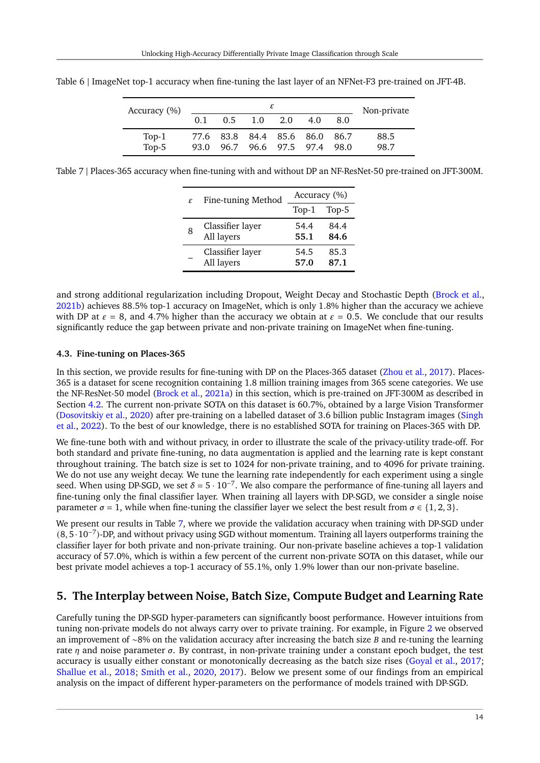| Accuracy (%) |     |  |                               |  |     |     | Non-private |
|--------------|-----|--|-------------------------------|--|-----|-----|-------------|
|              | 0.1 |  | $0.5 \quad 1.0 \quad 2.0$     |  | 4.0 | 8.0 |             |
| Top-1        |     |  | 77.6 83.8 84.4 85.6 86.0 86.7 |  |     |     | 88.5        |
| Top-5        |     |  | 93.0 96.7 96.6 97.5 97.4 98.0 |  |     |     | 98.7        |

<span id="page-13-2"></span>Table 6 | ImageNet top-1 accuracy when fine-tuning the last layer of an NFNet-F3 pre-trained on JFT-4B.

<span id="page-13-3"></span>Table 7 | Places-365 accuracy when fine-tuning with and without DP an NF-ResNet-50 pre-trained on JFT-300M.

| $\mathcal{E}_{\mathcal{L}}$ | Fine-tuning Method | Accuracy (%) |       |  |
|-----------------------------|--------------------|--------------|-------|--|
|                             |                    | $Top-1$      | Top-5 |  |
| 8                           | Classifier layer   | 54.4         | 84.4  |  |
|                             | All layers         | 55.1         | 84.6  |  |
|                             | Classifier layer   | 54.5         | 85.3  |  |
|                             | All layers         | 57.0         | 87.1  |  |

and strong additional regularization including Dropout, Weight Decay and Stochastic Depth [\(Brock et al.,](#page-17-5) [2021b\)](#page-17-5) achieves 88.5% top-1 accuracy on ImageNet, which is only 1.8% higher than the accuracy we achieve with DP at  $\varepsilon = 8$ , and 4.7% higher than the accuracy we obtain at  $\varepsilon = 0.5$ . We conclude that our results significantly reduce the gap between private and non-private training on ImageNet when fine-tuning.

### <span id="page-13-0"></span>**4.3. Fine-tuning on Places-365**

In this section, we provide results for fine-tuning with DP on the Places-365 dataset [\(Zhou et al.,](#page-21-14) [2017\)](#page-21-14). Places-365 is a dataset for scene recognition containing 1.8 million training images from 365 scene categories. We use the NF-ResNet-50 model [\(Brock et al.,](#page-17-7) [2021a\)](#page-17-7) in this section, which is pre-trained on JFT-300M as described in Section [4.2.](#page-11-0) The current non-private SOTA on this dataset is 60.7%, obtained by a large Vision Transformer [\(Dosovitskiy et al.,](#page-17-13) [2020\)](#page-17-13) after pre-training on a labelled dataset of 3.6 billion public Instagram images [\(Singh](#page-20-15) [et al.,](#page-20-15) [2022\)](#page-20-15). To the best of our knowledge, there is no established SOTA for training on Places-365 with DP.

We fine-tune both with and without privacy, in order to illustrate the scale of the privacy-utility trade-off. For both standard and private fine-tuning, no data augmentation is applied and the learning rate is kept constant throughout training. The batch size is set to 1024 for non-private training, and to 4096 for private training. We do not use any weight decay. We tune the learning rate independently for each experiment using a single seed. When using DP-SGD, we set  $\delta = 5 \cdot 10^{-7}$ . We also compare the performance of fine-tuning all layers and fine-tuning only the final classifier layer. When training all layers with DP-SGD, we consider a single noise parameter  $\sigma = 1$ , while when fine-tuning the classifier layer we select the best result from  $\sigma \in \{1, 2, 3\}$ .

We present our results in Table [7,](#page-13-3) where we provide the validation accuracy when training with DP-SGD under (8, 5·10−<sup>7</sup> )-DP, and without privacy using SGD without momentum. Training all layers outperforms training the classifier layer for both private and non-private training. Our non-private baseline achieves a top-1 validation accuracy of 57.0%, which is within a few percent of the current non-private SOTA on this dataset, while our best private model achieves a top-1 accuracy of 55.1%, only 1.9% lower than our non-private baseline.

### <span id="page-13-1"></span>**5. The Interplay between Noise, Batch Size, Compute Budget and Learning Rate**

Carefully tuning the DP-SGD hyper-parameters can significantly boost performance. However intuitions from tuning non-private models do not always carry over to private training. For example, in Figure [2](#page-7-0) we observed an improvement of ∼8% on the validation accuracy after increasing the batch size *B* and re-tuning the learning rate  $\eta$  and noise parameter  $\sigma$ . By contrast, in non-private training under a constant epoch budget, the test accuracy is usually either constant or monotonically decreasing as the batch size rises [\(Goyal et al.,](#page-18-17) [2017;](#page-18-17) [Shallue et al.,](#page-20-16) [2018;](#page-20-16) [Smith et al.,](#page-20-17) [2020,](#page-20-17) [2017\)](#page-20-18). Below we present some of our findings from an empirical analysis on the impact of different hyper-parameters on the performance of models trained with DP-SGD.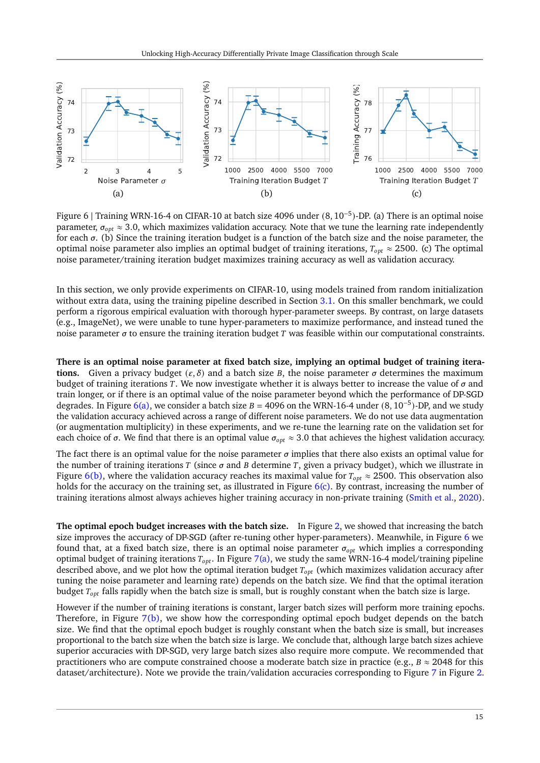<span id="page-14-3"></span><span id="page-14-0"></span>

<span id="page-14-2"></span><span id="page-14-1"></span>Figure 6 | Training WRN-16-4 on CIFAR-10 at batch size 4096 under (8, 10−<sup>5</sup> )-DP. (a) There is an optimal noise parameter,  $\sigma_{opt} \approx 3.0$ , which maximizes validation accuracy. Note that we tune the learning rate independently for each  $\sigma$ . (b) Since the training iteration budget is a function of the batch size and the noise parameter, the optimal noise parameter also implies an optimal budget of training iterations,  $T_{opt} \approx 2500$ . (c) The optimal noise parameter/training iteration budget maximizes training accuracy as well as validation accuracy.

In this section, we only provide experiments on CIFAR-10, using models trained from random initialization without extra data, using the training pipeline described in Section [3.1.](#page-5-1) On this smaller benchmark, we could perform a rigorous empirical evaluation with thorough hyper-parameter sweeps. By contrast, on large datasets (e.g., ImageNet), we were unable to tune hyper-parameters to maximize performance, and instead tuned the noise parameter  $\sigma$  to ensure the training iteration budget T was feasible within our computational constraints.

**There is an optimal noise parameter at fixed batch size, implying an optimal budget of training iterations.** Given a privacy budget  $(\varepsilon, \delta)$  and a batch size B, the noise parameter  $\sigma$  determines the maximum budget of training iterations T. We now investigate whether it is always better to increase the value of  $\sigma$  and train longer, or if there is an optimal value of the noise parameter beyond which the performance of DP-SGD degrades. In Figure [6\(a\),](#page-14-0) we consider a batch size  $B = 4096$  on the WRN-16-4 under  $(8, 10^{-5})$ -DP, and we study the validation accuracy achieved across a range of different noise parameters. We do not use data augmentation (or augmentation multiplicity) in these experiments, and we re-tune the learning rate on the validation set for each choice of  $\sigma$ . We find that there is an optimal value  $\sigma_{opt} \approx 3.0$  that achieves the highest validation accuracy.

The fact there is an optimal value for the noise parameter  $\sigma$  implies that there also exists an optimal value for the number of training iterations  $T$  (since  $\sigma$  and  $B$  determine  $T$ , given a privacy budget), which we illustrate in Figure [6\(b\),](#page-14-1) where the validation accuracy reaches its maximal value for  $T_{opt} \approx 2500$ . This observation also holds for the accuracy on the training set, as illustrated in Figure  $6(c)$ . By contrast, increasing the number of training iterations almost always achieves higher training accuracy in non-private training [\(Smith et al.,](#page-20-17) [2020\)](#page-20-17).

**The optimal epoch budget increases with the batch size.** In Figure [2,](#page-7-0) we showed that increasing the batch size improves the accuracy of DP-SGD (after re-tuning other hyper-parameters). Meanwhile, in Figure [6](#page-14-3) we found that, at a fixed batch size, there is an optimal noise parameter  $\sigma_{opt}$  which implies a corresponding optimal budget of training iterations  $T_{opt}$ . In Figure [7\(a\),](#page-15-0) we study the same WRN-16-4 model/training pipeline described above, and we plot how the optimal iteration budget  $T_{opt}$  (which maximizes validation accuracy after tuning the noise parameter and learning rate) depends on the batch size. We find that the optimal iteration budget  $T_{opt}$  falls rapidly when the batch size is small, but is roughly constant when the batch size is large.

However if the number of training iterations is constant, larger batch sizes will perform more training epochs. Therefore, in Figure [7\(b\),](#page-15-1) we show how the corresponding optimal epoch budget depends on the batch size. We find that the optimal epoch budget is roughly constant when the batch size is small, but increases proportional to the batch size when the batch size is large. We conclude that, although large batch sizes achieve superior accuracies with DP-SGD, very large batch sizes also require more compute. We recommended that practitioners who are compute constrained choose a moderate batch size in practice (e.g.,  $B \approx 2048$  for this dataset/architecture). Note we provide the train/validation accuracies corresponding to Figure [7](#page-15-2) in Figure [2.](#page-7-0)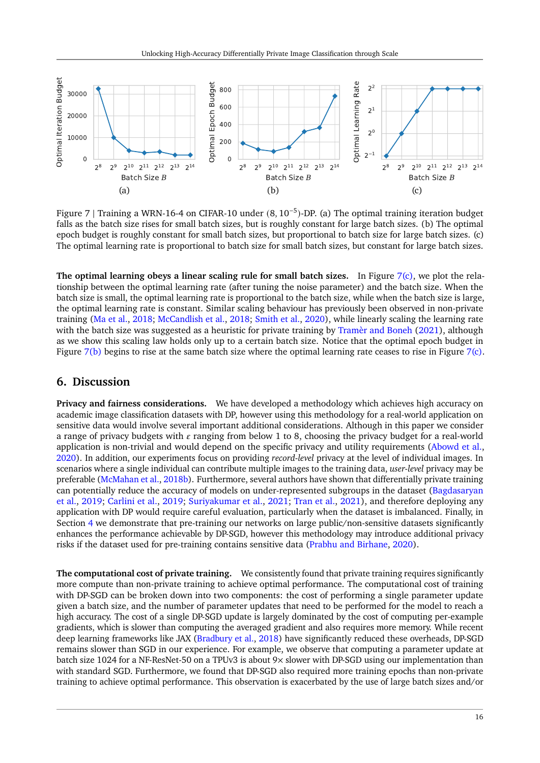<span id="page-15-2"></span><span id="page-15-0"></span>

<span id="page-15-3"></span><span id="page-15-1"></span>Figure 7 | Training a WRN-16-4 on CIFAR-10 under (8, 10−<sup>5</sup> )-DP. (a) The optimal training iteration budget falls as the batch size rises for small batch sizes, but is roughly constant for large batch sizes. (b) The optimal epoch budget is roughly constant for small batch sizes, but proportional to batch size for large batch sizes. (c) The optimal learning rate is proportional to batch size for small batch sizes, but constant for large batch sizes.

**The optimal learning obeys a linear scaling rule for small batch sizes.** In Figure [7\(c\),](#page-15-3) we plot the relationship between the optimal learning rate (after tuning the noise parameter) and the batch size. When the batch size is small, the optimal learning rate is proportional to the batch size, while when the batch size is large, the optimal learning rate is constant. Similar scaling behaviour has previously been observed in non-private training [\(Ma et al.,](#page-19-17) [2018;](#page-19-17) [McCandlish et al.,](#page-19-18) [2018;](#page-19-18) [Smith et al.,](#page-20-17) [2020\)](#page-20-17), while linearly scaling the learning rate with the batch size was suggested as a heuristic for private training by [Tramèr and Boneh](#page-20-1) [\(2021\)](#page-20-1), although as we show this scaling law holds only up to a certain batch size. Notice that the optimal epoch budget in Figure [7\(b\)](#page-15-1) begins to rise at the same batch size where the optimal learning rate ceases to rise in Figure [7\(c\).](#page-15-3)

## **6. Discussion**

**Privacy and fairness considerations.** We have developed a methodology which achieves high accuracy on academic image classification datasets with DP, however using this methodology for a real-world application on sensitive data would involve several important additional considerations. Although in this paper we consider a range of privacy budgets with  $\varepsilon$  ranging from below 1 to 8, choosing the privacy budget for a real-world application is non-trivial and would depend on the specific privacy and utility requirements [\(Abowd et al.,](#page-16-5) [2020\)](#page-16-5). In addition, our experiments focus on providing *record-level* privacy at the level of individual images. In scenarios where a single individual can contribute multiple images to the training data, *user-level* privacy may be preferable [\(McMahan et al.,](#page-19-6) [2018b\)](#page-19-6). Furthermore, several authors have shown that differentially private training can potentially reduce the accuracy of models on under-represented subgroups in the dataset [\(Bagdasaryan](#page-17-18) [et al.,](#page-17-18) [2019;](#page-17-18) [Carlini et al.,](#page-17-19) [2019;](#page-17-19) [Suriyakumar et al.,](#page-20-19) [2021;](#page-20-19) [Tran et al.,](#page-21-16) [2021\)](#page-21-16), and therefore deploying any application with DP would require careful evaluation, particularly when the dataset is imbalanced. Finally, in Section [4](#page-10-1) we demonstrate that pre-training our networks on large public/non-sensitive datasets significantly enhances the performance achievable by DP-SGD, however this methodology may introduce additional privacy risks if the dataset used for pre-training contains sensitive data [\(Prabhu and Birhane,](#page-20-20) [2020\)](#page-20-20).

**The computational cost of private training.** We consistently found that private training requires significantly more compute than non-private training to achieve optimal performance. The computational cost of training with DP-SGD can be broken down into two components: the cost of performing a single parameter update given a batch size, and the number of parameter updates that need to be performed for the model to reach a high accuracy. The cost of a single DP-SGD update is largely dominated by the cost of computing per-example gradients, which is slower than computing the averaged gradient and also requires more memory. While recent deep learning frameworks like JAX [\(Bradbury et al.,](#page-17-20) [2018\)](#page-17-20) have significantly reduced these overheads, DP-SGD remains slower than SGD in our experience. For example, we observe that computing a parameter update at batch size 1024 for a NF-ResNet-50 on a TPUv3 is about 9× slower with DP-SGD using our implementation than with standard SGD. Furthermore, we found that DP-SGD also required more training epochs than non-private training to achieve optimal performance. This observation is exacerbated by the use of large batch sizes and/or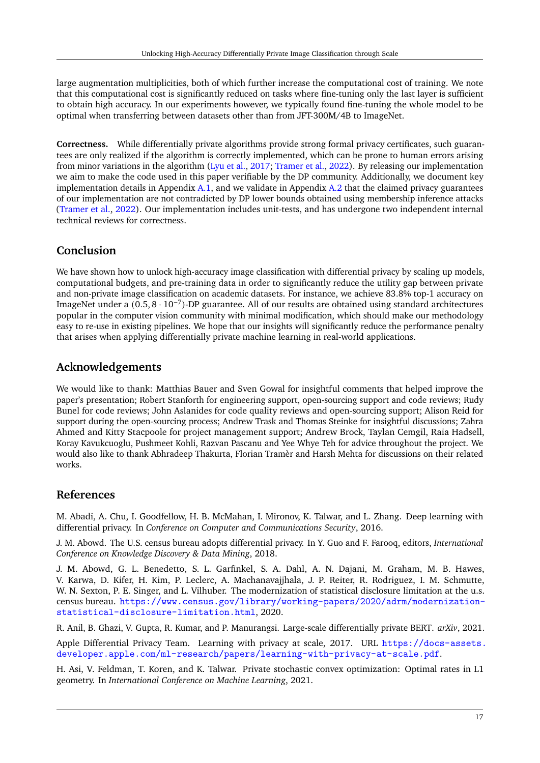large augmentation multiplicities, both of which further increase the computational cost of training. We note that this computational cost is significantly reduced on tasks where fine-tuning only the last layer is sufficient to obtain high accuracy. In our experiments however, we typically found fine-tuning the whole model to be optimal when transferring between datasets other than from JFT-300M/4B to ImageNet.

**Correctness.** While differentially private algorithms provide strong formal privacy certificates, such guarantees are only realized if the algorithm is correctly implemented, which can be prone to human errors arising from minor variations in the algorithm [\(Lyu et al.,](#page-19-19) [2017;](#page-19-19) [Tramer et al.,](#page-20-21) [2022\)](#page-20-21). By releasing our implementation we aim to make the code used in this paper verifiable by the DP community. Additionally, we document key implementation details in Appendix  $A.1$ , and we validate in Appendix  $A.2$  that the claimed privacy guarantees of our implementation are not contradicted by DP lower bounds obtained using membership inference attacks [\(Tramer et al.,](#page-20-21) [2022\)](#page-20-21). Our implementation includes unit-tests, and has undergone two independent internal technical reviews for correctness.

# **Conclusion**

We have shown how to unlock high-accuracy image classification with differential privacy by scaling up models, computational budgets, and pre-training data in order to significantly reduce the utility gap between private and non-private image classification on academic datasets. For instance, we achieve 83.8% top-1 accuracy on ImageNet under a (0.5, 8 · 10−<sup>7</sup> )-DP guarantee. All of our results are obtained using standard architectures popular in the computer vision community with minimal modification, which should make our methodology easy to re-use in existing pipelines. We hope that our insights will significantly reduce the performance penalty that arises when applying differentially private machine learning in real-world applications.

# **Acknowledgements**

We would like to thank: Matthias Bauer and Sven Gowal for insightful comments that helped improve the paper's presentation; Robert Stanforth for engineering support, open-sourcing support and code reviews; Rudy Bunel for code reviews; John Aslanides for code quality reviews and open-sourcing support; Alison Reid for support during the open-sourcing process; Andrew Trask and Thomas Steinke for insightful discussions; Zahra Ahmed and Kitty Stacpoole for project management support; Andrew Brock, Taylan Cemgil, Raia Hadsell, Koray Kavukcuoglu, Pushmeet Kohli, Razvan Pascanu and Yee Whye Teh for advice throughout the project. We would also like to thank Abhradeep Thakurta, Florian Tramèr and Harsh Mehta for discussions on their related works.

# **References**

<span id="page-16-2"></span>M. Abadi, A. Chu, I. Goodfellow, H. B. McMahan, I. Mironov, K. Talwar, and L. Zhang. Deep learning with differential privacy. In *Conference on Computer and Communications Security*, 2016.

<span id="page-16-0"></span>J. M. Abowd. The U.S. census bureau adopts differential privacy. In Y. Guo and F. Farooq, editors, *International Conference on Knowledge Discovery & Data Mining*, 2018.

<span id="page-16-5"></span>J. M. Abowd, G. L. Benedetto, S. L. Garfinkel, S. A. Dahl, A. N. Dajani, M. Graham, M. B. Hawes, V. Karwa, D. Kifer, H. Kim, P. Leclerc, A. Machanavajjhala, J. P. Reiter, R. Rodriguez, I. M. Schmutte, W. N. Sexton, P. E. Singer, and L. Vilhuber. The modernization of statistical disclosure limitation at the u.s. census bureau. [https://www.census.gov/library/working-papers/2020/adrm/modernization](https://www.census.gov/library/working-papers/2020/adrm/modernization-statistical-disclosure-limitation.html)[statistical-disclosure-limitation.html](https://www.census.gov/library/working-papers/2020/adrm/modernization-statistical-disclosure-limitation.html), 2020.

<span id="page-16-4"></span>R. Anil, B. Ghazi, V. Gupta, R. Kumar, and P. Manurangsi. Large-scale differentially private BERT. *arXiv*, 2021.

<span id="page-16-1"></span>Apple Differential Privacy Team. Learning with privacy at scale, 2017. URL [https://docs-assets.](https://docs-assets.developer.apple.com/ml-research/papers/learning-with-privacy-at-scale.pdf) [developer.apple.com/ml-research/papers/learning-with-privacy-at-scale.pdf](https://docs-assets.developer.apple.com/ml-research/papers/learning-with-privacy-at-scale.pdf).

<span id="page-16-3"></span>H. Asi, V. Feldman, T. Koren, and K. Talwar. Private stochastic convex optimization: Optimal rates in L1 geometry. In *International Conference on Machine Learning*, 2021.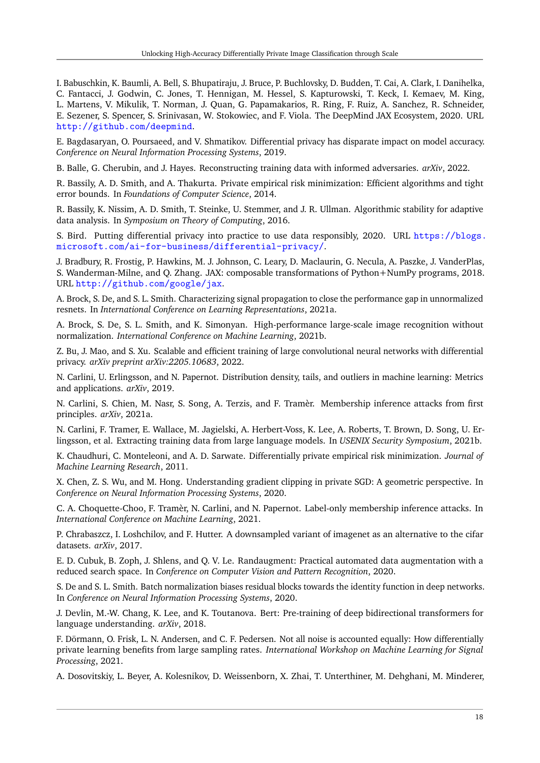<span id="page-17-21"></span>I. Babuschkin, K. Baumli, A. Bell, S. Bhupatiraju, J. Bruce, P. Buchlovsky, D. Budden, T. Cai, A. Clark, I. Danihelka, C. Fantacci, J. Godwin, C. Jones, T. Hennigan, M. Hessel, S. Kapturowski, T. Keck, I. Kemaev, M. King, L. Martens, V. Mikulik, T. Norman, J. Quan, G. Papamakarios, R. Ring, F. Ruiz, A. Sanchez, R. Schneider, E. Sezener, S. Spencer, S. Srinivasan, W. Stokowiec, and F. Viola. The DeepMind JAX Ecosystem, 2020. URL <http://github.com/deepmind>.

<span id="page-17-18"></span>E. Bagdasaryan, O. Poursaeed, and V. Shmatikov. Differential privacy has disparate impact on model accuracy. *Conference on Neural Information Processing Systems*, 2019.

<span id="page-17-1"></span>B. Balle, G. Cherubin, and J. Hayes. Reconstructing training data with informed adversaries. *arXiv*, 2022.

<span id="page-17-10"></span>R. Bassily, A. D. Smith, and A. Thakurta. Private empirical risk minimization: Efficient algorithms and tight error bounds. In *Foundations of Computer Science*, 2014.

<span id="page-17-15"></span>R. Bassily, K. Nissim, A. D. Smith, T. Steinke, U. Stemmer, and J. R. Ullman. Algorithmic stability for adaptive data analysis. In *Symposium on Theory of Computing*, 2016.

<span id="page-17-4"></span>S. Bird. Putting differential privacy into practice to use data responsibly, 2020. URL [https://blogs.](https://blogs.microsoft.com/ai-for-business/differential-privacy/) [microsoft.com/ai-for-business/differential-privacy/](https://blogs.microsoft.com/ai-for-business/differential-privacy/).

<span id="page-17-20"></span>J. Bradbury, R. Frostig, P. Hawkins, M. J. Johnson, C. Leary, D. Maclaurin, G. Necula, A. Paszke, J. VanderPlas, S. Wanderman-Milne, and Q. Zhang. JAX: composable transformations of Python+NumPy programs, 2018. URL <http://github.com/google/jax>.

<span id="page-17-7"></span>A. Brock, S. De, and S. L. Smith. Characterizing signal propagation to close the performance gap in unnormalized resnets. In *International Conference on Learning Representations*, 2021a.

<span id="page-17-5"></span>A. Brock, S. De, S. L. Smith, and K. Simonyan. High-performance large-scale image recognition without normalization. *International Conference on Machine Learning*, 2021b.

<span id="page-17-8"></span>Z. Bu, J. Mao, and S. Xu. Scalable and efficient training of large convolutional neural networks with differential privacy. *arXiv preprint arXiv:2205.10683*, 2022.

<span id="page-17-19"></span>N. Carlini, U. Erlingsson, and N. Papernot. Distribution density, tails, and outliers in machine learning: Metrics and applications. *arXiv*, 2019.

<span id="page-17-2"></span>N. Carlini, S. Chien, M. Nasr, S. Song, A. Terzis, and F. Tramèr. Membership inference attacks from first principles. *arXiv*, 2021a.

<span id="page-17-0"></span>N. Carlini, F. Tramer, E. Wallace, M. Jagielski, A. Herbert-Voss, K. Lee, A. Roberts, T. Brown, D. Song, U. Erlingsson, et al. Extracting training data from large language models. In *USENIX Security Symposium*, 2021b.

<span id="page-17-9"></span>K. Chaudhuri, C. Monteleoni, and A. D. Sarwate. Differentially private empirical risk minimization. *Journal of Machine Learning Research*, 2011.

<span id="page-17-11"></span>X. Chen, Z. S. Wu, and M. Hong. Understanding gradient clipping in private SGD: A geometric perspective. In *Conference on Neural Information Processing Systems*, 2020.

<span id="page-17-3"></span>C. A. Choquette-Choo, F. Tramèr, N. Carlini, and N. Papernot. Label-only membership inference attacks. In *International Conference on Machine Learning*, 2021.

<span id="page-17-17"></span>P. Chrabaszcz, I. Loshchilov, and F. Hutter. A downsampled variant of imagenet as an alternative to the cifar datasets. *arXiv*, 2017.

<span id="page-17-16"></span>E. D. Cubuk, B. Zoph, J. Shlens, and Q. V. Le. Randaugment: Practical automated data augmentation with a reduced search space. In *Conference on Computer Vision and Pattern Recognition*, 2020.

<span id="page-17-14"></span>S. De and S. L. Smith. Batch normalization biases residual blocks towards the identity function in deep networks. In *Conference on Neural Information Processing Systems*, 2020.

<span id="page-17-12"></span>J. Devlin, M.-W. Chang, K. Lee, and K. Toutanova. Bert: Pre-training of deep bidirectional transformers for language understanding. *arXiv*, 2018.

<span id="page-17-6"></span>F. Dörmann, O. Frisk, L. N. Andersen, and C. F. Pedersen. Not all noise is accounted equally: How differentially private learning benefits from large sampling rates. *International Workshop on Machine Learning for Signal Processing*, 2021.

<span id="page-17-13"></span>A. Dosovitskiy, L. Beyer, A. Kolesnikov, D. Weissenborn, X. Zhai, T. Unterthiner, M. Dehghani, M. Minderer,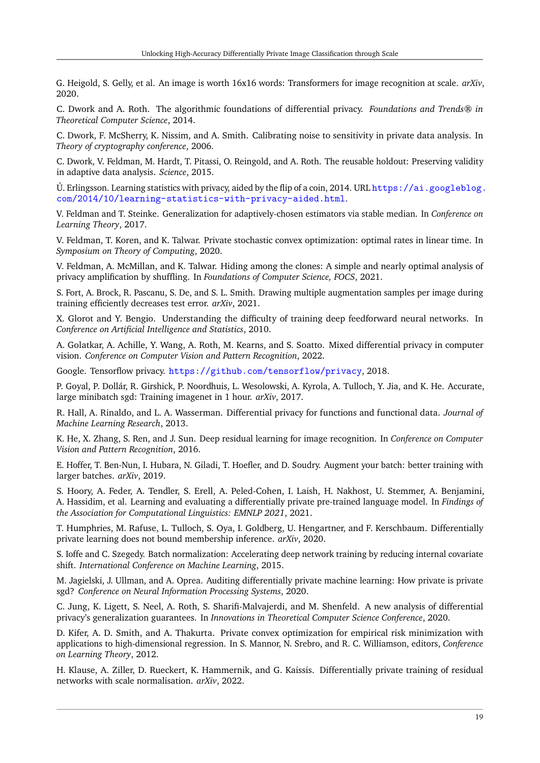G. Heigold, S. Gelly, et al. An image is worth 16x16 words: Transformers for image recognition at scale. *arXiv*, 2020.

<span id="page-18-6"></span>C. Dwork and A. Roth. The algorithmic foundations of differential privacy. *Foundations and Trends® in Theoretical Computer Science*, 2014.

<span id="page-18-0"></span>C. Dwork, F. McSherry, K. Nissim, and A. Smith. Calibrating noise to sensitivity in private data analysis. In *Theory of cryptography conference*, 2006.

<span id="page-18-14"></span>C. Dwork, V. Feldman, M. Hardt, T. Pitassi, O. Reingold, and A. Roth. The reusable holdout: Preserving validity in adaptive data analysis. *Science*, 2015.

<span id="page-18-1"></span>U. Erlingsson. Learning statistics with privacy, aided by the flip of a coin, 2014. URL [https://ai.googleblog.](https://ai.googleblog.com/2014/10/learning-statistics-with-privacy-aided.html) [com/2014/10/learning-statistics-with-privacy-aided.html](https://ai.googleblog.com/2014/10/learning-statistics-with-privacy-aided.html).

<span id="page-18-15"></span>V. Feldman and T. Steinke. Generalization for adaptively-chosen estimators via stable median. In *Conference on Learning Theory*, 2017.

<span id="page-18-8"></span>V. Feldman, T. Koren, and K. Talwar. Private stochastic convex optimization: optimal rates in linear time. In *Symposium on Theory of Computing*, 2020.

<span id="page-18-18"></span>V. Feldman, A. McMillan, and K. Talwar. Hiding among the clones: A simple and nearly optimal analysis of privacy amplification by shuffling. In *Foundations of Computer Science, FOCS*, 2021.

<span id="page-18-11"></span>S. Fort, A. Brock, R. Pascanu, S. De, and S. L. Smith. Drawing multiple augmentation samples per image during training efficiently decreases test error. *arXiv*, 2021.

<span id="page-18-12"></span>X. Glorot and Y. Bengio. Understanding the difficulty of training deep feedforward neural networks. In *Conference on Artificial Intelligence and Statistics*, 2010.

<span id="page-18-3"></span>A. Golatkar, A. Achille, Y. Wang, A. Roth, M. Kearns, and S. Soatto. Mixed differential privacy in computer vision. *Conference on Computer Vision and Pattern Recognition*, 2022.

<span id="page-18-9"></span>Google. Tensorflow privacy. <https://github.com/tensorflow/privacy>, 2018.

<span id="page-18-17"></span>P. Goyal, P. Dollár, R. Girshick, P. Noordhuis, L. Wesolowski, A. Kyrola, A. Tulloch, Y. Jia, and K. He. Accurate, large minibatch sgd: Training imagenet in 1 hour. *arXiv*, 2017.

<span id="page-18-20"></span>R. Hall, A. Rinaldo, and L. A. Wasserman. Differential privacy for functions and functional data. *Journal of Machine Learning Research*, 2013.

<span id="page-18-5"></span>K. He, X. Zhang, S. Ren, and J. Sun. Deep residual learning for image recognition. In *Conference on Computer Vision and Pattern Recognition*, 2016.

<span id="page-18-4"></span>E. Hoffer, T. Ben-Nun, I. Hubara, N. Giladi, T. Hoefler, and D. Soudry. Augment your batch: better training with larger batches. *arXiv*, 2019.

<span id="page-18-13"></span>S. Hoory, A. Feder, A. Tendler, S. Erell, A. Peled-Cohen, I. Laish, H. Nakhost, U. Stemmer, A. Benjamini, A. Hassidim, et al. Learning and evaluating a differentially private pre-trained language model. In *Findings of the Association for Computational Linguistics: EMNLP 2021*, 2021.

<span id="page-18-21"></span>T. Humphries, M. Rafuse, L. Tulloch, S. Oya, I. Goldberg, U. Hengartner, and F. Kerschbaum. Differentially private learning does not bound membership inference. *arXiv*, 2020.

<span id="page-18-10"></span>S. Ioffe and C. Szegedy. Batch normalization: Accelerating deep network training by reducing internal covariate shift. *International Conference on Machine Learning*, 2015.

<span id="page-18-19"></span>M. Jagielski, J. Ullman, and A. Oprea. Auditing differentially private machine learning: How private is private sgd? *Conference on Neural Information Processing Systems*, 2020.

<span id="page-18-16"></span>C. Jung, K. Ligett, S. Neel, A. Roth, S. Sharifi-Malvajerdi, and M. Shenfeld. A new analysis of differential privacy's generalization guarantees. In *Innovations in Theoretical Computer Science Conference*, 2020.

<span id="page-18-7"></span>D. Kifer, A. D. Smith, and A. Thakurta. Private convex optimization for empirical risk minimization with applications to high-dimensional regression. In S. Mannor, N. Srebro, and R. C. Williamson, editors, *Conference on Learning Theory*, 2012.

<span id="page-18-2"></span>H. Klause, A. Ziller, D. Rueckert, K. Hammernik, and G. Kaissis. Differentially private training of residual networks with scale normalisation. *arXiv*, 2022.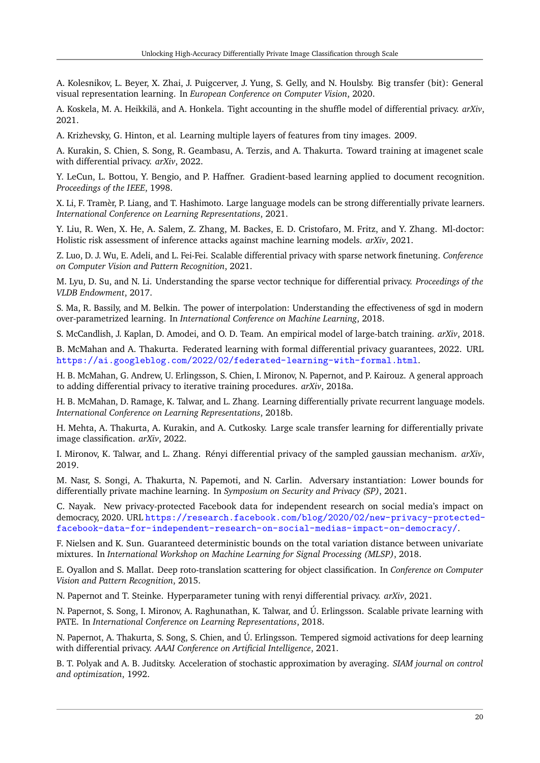<span id="page-19-15"></span>A. Kolesnikov, L. Beyer, X. Zhai, J. Puigcerver, J. Yung, S. Gelly, and N. Houlsby. Big transfer (bit): General visual representation learning. In *European Conference on Computer Vision*, 2020.

<span id="page-19-20"></span>A. Koskela, M. A. Heikkilä, and A. Honkela. Tight accounting in the shuffle model of differential privacy. *arXiv*, 2021.

<span id="page-19-13"></span>A. Krizhevsky, G. Hinton, et al. Learning multiple layers of features from tiny images. 2009.

<span id="page-19-4"></span>A. Kurakin, S. Chien, S. Song, R. Geambasu, A. Terzis, and A. Thakurta. Toward training at imagenet scale with differential privacy. *arXiv*, 2022.

<span id="page-19-22"></span>Y. LeCun, L. Bottou, Y. Bengio, and P. Haffner. Gradient-based learning applied to document recognition. *Proceedings of the IEEE*, 1998.

<span id="page-19-11"></span>X. Li, F. Tramèr, P. Liang, and T. Hashimoto. Large language models can be strong differentially private learners. *International Conference on Learning Representations*, 2021.

<span id="page-19-0"></span>Y. Liu, R. Wen, X. He, A. Salem, Z. Zhang, M. Backes, E. D. Cristofaro, M. Fritz, and Y. Zhang. Ml-doctor: Holistic risk assessment of inference attacks against machine learning models. *arXiv*, 2021.

<span id="page-19-14"></span>Z. Luo, D. J. Wu, E. Adeli, and L. Fei-Fei. Scalable differential privacy with sparse network finetuning. *Conference on Computer Vision and Pattern Recognition*, 2021.

<span id="page-19-19"></span>M. Lyu, D. Su, and N. Li. Understanding the sparse vector technique for differential privacy. *Proceedings of the VLDB Endowment*, 2017.

<span id="page-19-17"></span>S. Ma, R. Bassily, and M. Belkin. The power of interpolation: Understanding the effectiveness of sgd in modern over-parametrized learning. In *International Conference on Machine Learning*, 2018.

<span id="page-19-18"></span>S. McCandlish, J. Kaplan, D. Amodei, and O. D. Team. An empirical model of large-batch training. *arXiv*, 2018.

<span id="page-19-1"></span>B. McMahan and A. Thakurta. Federated learning with formal differential privacy guarantees, 2022. URL <https://ai.googleblog.com/2022/02/federated-learning-with-formal.html>.

<span id="page-19-9"></span>H. B. McMahan, G. Andrew, U. Erlingsson, S. Chien, I. Mironov, N. Papernot, and P. Kairouz. A general approach to adding differential privacy to iterative training procedures. *arXiv*, 2018a.

<span id="page-19-6"></span>H. B. McMahan, D. Ramage, K. Talwar, and L. Zhang. Learning differentially private recurrent language models. *International Conference on Learning Representations*, 2018b.

<span id="page-19-16"></span>H. Mehta, A. Thakurta, A. Kurakin, and A. Cutkosky. Large scale transfer learning for differentially private image classification. *arXiv*, 2022.

<span id="page-19-3"></span>I. Mironov, K. Talwar, and L. Zhang. Rényi differential privacy of the sampled gaussian mechanism. *arXiv*, 2019.

<span id="page-19-21"></span>M. Nasr, S. Songi, A. Thakurta, N. Papemoti, and N. Carlin. Adversary instantiation: Lower bounds for differentially private machine learning. In *Symposium on Security and Privacy (SP)*, 2021.

<span id="page-19-2"></span>C. Nayak. New privacy-protected Facebook data for independent research on social media's impact on democracy, 2020. URL [https://research.facebook.com/blog/2020/02/new-privacy-protected](https://research.facebook.com/blog/2020/02/new-privacy-protected-facebook-data-for-independent-research-on-social-medias-impact-on-democracy/)[facebook-data-for-independent-research-on-social-medias-impact-on-democracy/](https://research.facebook.com/blog/2020/02/new-privacy-protected-facebook-data-for-independent-research-on-social-medias-impact-on-democracy/).

<span id="page-19-23"></span>F. Nielsen and K. Sun. Guaranteed deterministic bounds on the total variation distance between univariate mixtures. In *International Workshop on Machine Learning for Signal Processing (MLSP)*, 2018.

<span id="page-19-12"></span>E. Oyallon and S. Mallat. Deep roto-translation scattering for object classification. In *Conference on Computer Vision and Pattern Recognition*, 2015.

<span id="page-19-10"></span>N. Papernot and T. Steinke. Hyperparameter tuning with renyi differential privacy. *arXiv*, 2021.

<span id="page-19-8"></span>N. Papernot, S. Song, I. Mironov, A. Raghunathan, K. Talwar, and Ú. Erlingsson. Scalable private learning with PATE. In *International Conference on Learning Representations*, 2018.

<span id="page-19-5"></span>N. Papernot, A. Thakurta, S. Song, S. Chien, and Ú. Erlingsson. Tempered sigmoid activations for deep learning with differential privacy. *AAAI Conference on Artificial Intelligence*, 2021.

<span id="page-19-7"></span>B. T. Polyak and A. B. Juditsky. Acceleration of stochastic approximation by averaging. *SIAM journal on control and optimization*, 1992.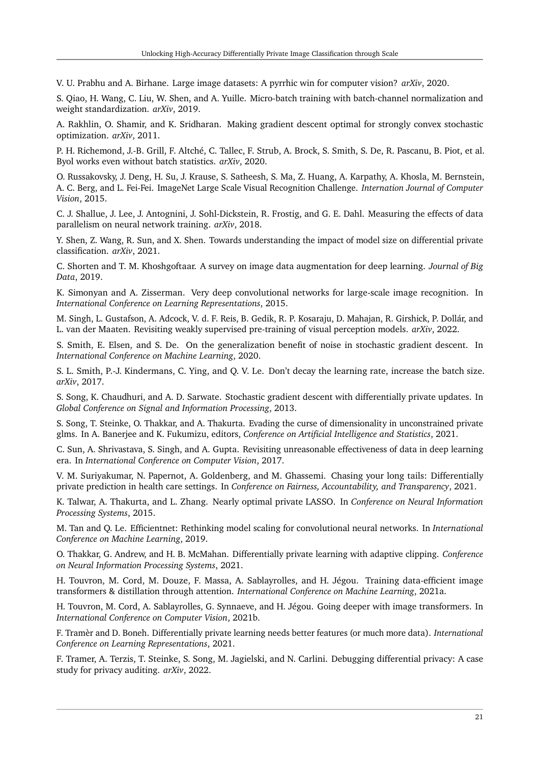<span id="page-20-20"></span>V. U. Prabhu and A. Birhane. Large image datasets: A pyrrhic win for computer vision? *arXiv*, 2020.

<span id="page-20-2"></span>S. Qiao, H. Wang, C. Liu, W. Shen, and A. Yuille. Micro-batch training with batch-channel normalization and weight standardization. *arXiv*, 2019.

<span id="page-20-22"></span>A. Rakhlin, O. Shamir, and K. Sridharan. Making gradient descent optimal for strongly convex stochastic optimization. *arXiv*, 2011.

<span id="page-20-11"></span>P. H. Richemond, J.-B. Grill, F. Altché, C. Tallec, F. Strub, A. Brock, S. Smith, S. De, R. Pascanu, B. Piot, et al. Byol works even without batch statistics. *arXiv*, 2020.

<span id="page-20-14"></span>O. Russakovsky, J. Deng, H. Su, J. Krause, S. Satheesh, S. Ma, Z. Huang, A. Karpathy, A. Khosla, M. Bernstein, A. C. Berg, and L. Fei-Fei. ImageNet Large Scale Visual Recognition Challenge. *Internation Journal of Computer Vision*, 2015.

<span id="page-20-16"></span>C. J. Shallue, J. Lee, J. Antognini, J. Sohl-Dickstein, R. Frostig, and G. E. Dahl. Measuring the effects of data parallelism on neural network training. *arXiv*, 2018.

<span id="page-20-0"></span>Y. Shen, Z. Wang, R. Sun, and X. Shen. Towards understanding the impact of model size on differential private classification. *arXiv*, 2021.

<span id="page-20-12"></span>C. Shorten and T. M. Khoshgoftaar. A survey on image data augmentation for deep learning. *Journal of Big Data*, 2019.

<span id="page-20-8"></span>K. Simonyan and A. Zisserman. Very deep convolutional networks for large-scale image recognition. In *International Conference on Learning Representations*, 2015.

<span id="page-20-15"></span>M. Singh, L. Gustafson, A. Adcock, V. d. F. Reis, B. Gedik, R. P. Kosaraju, D. Mahajan, R. Girshick, P. Dollár, and L. van der Maaten. Revisiting weakly supervised pre-training of visual perception models. *arXiv*, 2022.

<span id="page-20-17"></span>S. Smith, E. Elsen, and S. De. On the generalization benefit of noise in stochastic gradient descent. In *International Conference on Machine Learning*, 2020.

<span id="page-20-18"></span>S. L. Smith, P.-J. Kindermans, C. Ying, and Q. V. Le. Don't decay the learning rate, increase the batch size. *arXiv*, 2017.

<span id="page-20-4"></span>S. Song, K. Chaudhuri, and A. D. Sarwate. Stochastic gradient descent with differentially private updates. In *Global Conference on Signal and Information Processing*, 2013.

<span id="page-20-5"></span>S. Song, T. Steinke, O. Thakkar, and A. Thakurta. Evading the curse of dimensionality in unconstrained private glms. In A. Banerjee and K. Fukumizu, editors, *Conference on Artificial Intelligence and Statistics*, 2021.

<span id="page-20-3"></span>C. Sun, A. Shrivastava, S. Singh, and A. Gupta. Revisiting unreasonable effectiveness of data in deep learning era. In *International Conference on Computer Vision*, 2017.

<span id="page-20-19"></span>V. M. Suriyakumar, N. Papernot, A. Goldenberg, and M. Ghassemi. Chasing your long tails: Differentially private prediction in health care settings. In *Conference on Fairness, Accountability, and Transparency*, 2021.

<span id="page-20-6"></span>K. Talwar, A. Thakurta, and L. Zhang. Nearly optimal private LASSO. In *Conference on Neural Information Processing Systems*, 2015.

<span id="page-20-9"></span>M. Tan and Q. Le. Efficientnet: Rethinking model scaling for convolutional neural networks. In *International Conference on Machine Learning*, 2019.

<span id="page-20-7"></span>O. Thakkar, G. Andrew, and H. B. McMahan. Differentially private learning with adaptive clipping. *Conference on Neural Information Processing Systems*, 2021.

<span id="page-20-10"></span>H. Touvron, M. Cord, M. Douze, F. Massa, A. Sablayrolles, and H. Jégou. Training data-efficient image transformers & distillation through attention. *International Conference on Machine Learning*, 2021a.

<span id="page-20-13"></span>H. Touvron, M. Cord, A. Sablayrolles, G. Synnaeve, and H. Jégou. Going deeper with image transformers. In *International Conference on Computer Vision*, 2021b.

<span id="page-20-1"></span>F. Tramèr and D. Boneh. Differentially private learning needs better features (or much more data). *International Conference on Learning Representations*, 2021.

<span id="page-20-21"></span>F. Tramer, A. Terzis, T. Steinke, S. Song, M. Jagielski, and N. Carlini. Debugging differential privacy: A case study for privacy auditing. *arXiv*, 2022.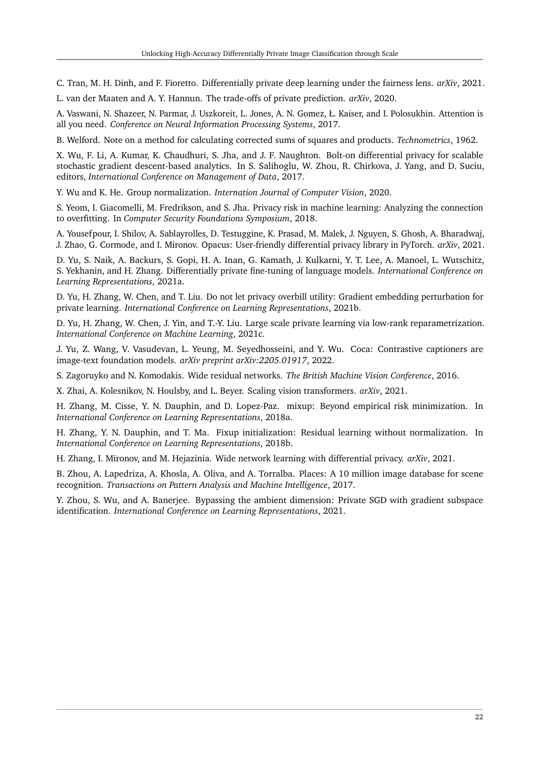<span id="page-21-16"></span>C. Tran, M. H. Dinh, and F. Fioretto. Differentially private deep learning under the fairness lens. *arXiv*, 2021.

<span id="page-21-4"></span>L. van der Maaten and A. Y. Hannun. The trade-offs of private prediction. *arXiv*, 2020.

<span id="page-21-7"></span>A. Vaswani, N. Shazeer, N. Parmar, J. Uszkoreit, L. Jones, A. N. Gomez, Ł. Kaiser, and I. Polosukhin. Attention is all you need. *Conference on Neural Information Processing Systems*, 2017.

<span id="page-21-18"></span>B. Welford. Note on a method for calculating corrected sums of squares and products. *Technometrics*, 1962.

<span id="page-21-6"></span>X. Wu, F. Li, A. Kumar, K. Chaudhuri, S. Jha, and J. F. Naughton. Bolt-on differential privacy for scalable stochastic gradient descent-based analytics. In S. Salihoglu, W. Zhou, R. Chirkova, J. Yang, and D. Suciu, editors, *International Conference on Management of Data*, 2017.

<span id="page-21-10"></span>Y. Wu and K. He. Group normalization. *Internation Journal of Computer Vision*, 2020.

<span id="page-21-12"></span>S. Yeom, I. Giacomelli, M. Fredrikson, and S. Jha. Privacy risk in machine learning: Analyzing the connection to overfitting. In *Computer Security Foundations Symposium*, 2018.

<span id="page-21-17"></span>A. Yousefpour, I. Shilov, A. Sablayrolles, D. Testuggine, K. Prasad, M. Malek, J. Nguyen, S. Ghosh, A. Bharadwaj, J. Zhao, G. Cormode, and I. Mironov. Opacus: User-friendly differential privacy library in PyTorch. *arXiv*, 2021.

<span id="page-21-8"></span>D. Yu, S. Naik, A. Backurs, S. Gopi, H. A. Inan, G. Kamath, J. Kulkarni, Y. T. Lee, A. Manoel, L. Wutschitz, S. Yekhanin, and H. Zhang. Differentially private fine-tuning of language models. *International Conference on Learning Representations*, 2021a.

<span id="page-21-1"></span>D. Yu, H. Zhang, W. Chen, and T. Liu. Do not let privacy overbill utility: Gradient embedding perturbation for private learning. *International Conference on Learning Representations*, 2021b.

<span id="page-21-9"></span>D. Yu, H. Zhang, W. Chen, J. Yin, and T.-Y. Liu. Large scale private learning via low-rank reparametrization. *International Conference on Machine Learning*, 2021c.

<span id="page-21-0"></span>J. Yu, Z. Wang, V. Vasudevan, L. Yeung, M. Seyedhosseini, and Y. Wu. Coca: Contrastive captioners are image-text foundation models. *arXiv preprint arXiv:2205.01917*, 2022.

<span id="page-21-5"></span>S. Zagoruyko and N. Komodakis. Wide residual networks. *The British Machine Vision Conference*, 2016.

<span id="page-21-15"></span>X. Zhai, A. Kolesnikov, N. Houlsby, and L. Beyer. Scaling vision transformers. *arXiv*, 2021.

<span id="page-21-13"></span>H. Zhang, M. Cisse, Y. N. Dauphin, and D. Lopez-Paz. mixup: Beyond empirical risk minimization. In *International Conference on Learning Representations*, 2018a.

<span id="page-21-11"></span>H. Zhang, Y. N. Dauphin, and T. Ma. Fixup initialization: Residual learning without normalization. In *International Conference on Learning Representations*, 2018b.

<span id="page-21-2"></span>H. Zhang, I. Mironov, and M. Hejazinia. Wide network learning with differential privacy. *arXiv*, 2021.

<span id="page-21-14"></span>B. Zhou, A. Lapedriza, A. Khosla, A. Oliva, and A. Torralba. Places: A 10 million image database for scene recognition. *Transactions on Pattern Analysis and Machine Intelligence*, 2017.

<span id="page-21-3"></span>Y. Zhou, S. Wu, and A. Banerjee. Bypassing the ambient dimension: Private SGD with gradient subspace identification. *International Conference on Learning Representations*, 2021.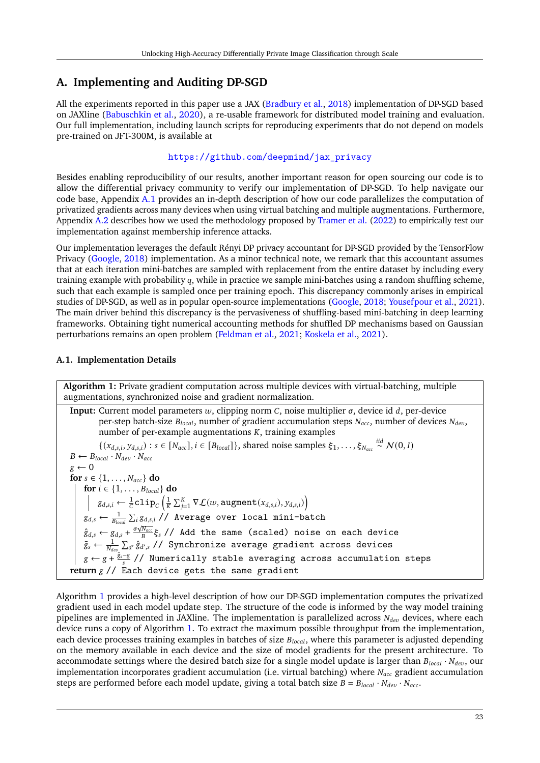# <span id="page-22-0"></span>**A. Implementing and Auditing DP-SGD**

All the experiments reported in this paper use a JAX [\(Bradbury et al.,](#page-17-20) [2018\)](#page-17-20) implementation of DP-SGD based on JAXline [\(Babuschkin et al.,](#page-17-21) [2020\)](#page-17-21), a re-usable framework for distributed model training and evaluation. Our full implementation, including launch scripts for reproducing experiments that do not depend on models pre-trained on JFT-300M, is available at

[https://github.com/deepmind/jax\\_privacy](https://github.com/deepmind/jax_privacy)

Besides enabling reproducibility of our results, another important reason for open sourcing our code is to allow the differential privacy community to verify our implementation of DP-SGD. To help navigate our code base, Appendix [A.1](#page-22-1) provides an in-depth description of how our code parallelizes the computation of privatized gradients across many devices when using virtual batching and multiple augmentations. Furthermore, Appendix [A.2](#page-24-0) describes how we used the methodology proposed by [Tramer et al.](#page-20-21) [\(2022\)](#page-20-21) to empirically test our implementation against membership inference attacks.

Our implementation leverages the default Rényi DP privacy accountant for DP-SGD provided by the TensorFlow Privacy [\(Google,](#page-18-9) [2018\)](#page-18-9) implementation. As a minor technical note, we remark that this accountant assumes that at each iteration mini-batches are sampled with replacement from the entire dataset by including every training example with probability  $q$ , while in practice we sample mini-batches using a random shuffling scheme, such that each example is sampled once per training epoch. This discrepancy commonly arises in empirical studies of DP-SGD, as well as in popular open-source implementations [\(Google,](#page-18-9) [2018;](#page-18-9) [Yousefpour et al.,](#page-21-17) [2021\)](#page-21-17). The main driver behind this discrepancy is the pervasiveness of shuffling-based mini-batching in deep learning frameworks. Obtaining tight numerical accounting methods for shuffled DP mechanisms based on Gaussian perturbations remains an open problem [\(Feldman et al.,](#page-18-18) [2021;](#page-18-18) [Koskela et al.,](#page-19-20) [2021\)](#page-19-20).

### <span id="page-22-1"></span>**A.1. Implementation Details**

**Algorithm 1:** Private gradient computation across multiple devices with virtual-batching, multiple augmentations, synchronized noise and gradient normalization.

**Input:** Current model parameters  $w$ , clipping norm  $C$ , noise multiplier  $\sigma$ , device id  $d$ , per-device per-step batch-size  $B_{local}$ , number of gradient accumulation steps  $N_{acc}$ , number of devices  $N_{dev}$ , number of per-example augmentations  $K$ , training examples  $\{(x_{d,s,i}, y_{d,s,i}) : s \in [N_{acc}], i \in [B_{local}]\}\$ , shared noise samples  $\xi_1, \ldots, \xi_{N_{acc}} \stackrel{iid}{\sim} \mathcal{N}(0, I)\}$  $B \leftarrow B_{local} \cdot N_{dev} \cdot N_{acc}$  $g \leftarrow 0$ **for**  $s \in \{1, \ldots, N_{acc}\}$  **do for**  $i \in \{1, ..., B_{local}\}$  **do**  $g_{d,s,i} \gets \frac{1}{C} \texttt{clip}_{C} \left(\frac{1}{K} \sum_{j=1}^{K} \nabla \mathcal{L}(w, \texttt{augment}(x_{d,s,i}), y_{d,s,i})\right)$  $g_{d,s} \leftarrow \frac{1}{B_{local}}\sum_i g_{d,s,i}$  // Average over local mini-batch  $\hat{g}_{d,s} \leftarrow g_{d,s} + \frac{\sigma \sqrt{N_{acc}}}{B} \xi_s \text{ // Add the same (scaled) noise on each device.}$  $\bar{g}_s \leftarrow \frac{1}{N_{dev}} \sum_{d'} \hat{g}_{d',s}^{\top}$ // Synchronize average gradient across devices  $g \leftarrow g + \frac{\bar{g}_s - g}{s}$  // Numerically stable averaging across accumulation steps **return** // Each device gets the same gradient

<span id="page-22-2"></span>Algorithm [1](#page-22-2) provides a high-level description of how our DP-SGD implementation computes the privatized gradient used in each model update step. The structure of the code is informed by the way model training pipelines are implemented in JAXline. The implementation is parallelized across  $N_{dev}$  devices, where each device runs a copy of Algorithm [1.](#page-22-2) To extract the maximum possible throughput from the implementation, each device processes training examples in batches of size  $B_{local}$ , where this parameter is adjusted depending on the memory available in each device and the size of model gradients for the present architecture. To accommodate settings where the desired batch size for a single model update is larger than  $B_{local} \cdot N_{dev}$ , our implementation incorporates gradient accumulation (i.e. virtual batching) where  $N_{acc}$  gradient accumulation steps are performed before each model update, giving a total batch size  $B = B_{local} \cdot N_{dev} \cdot N_{acc}$ .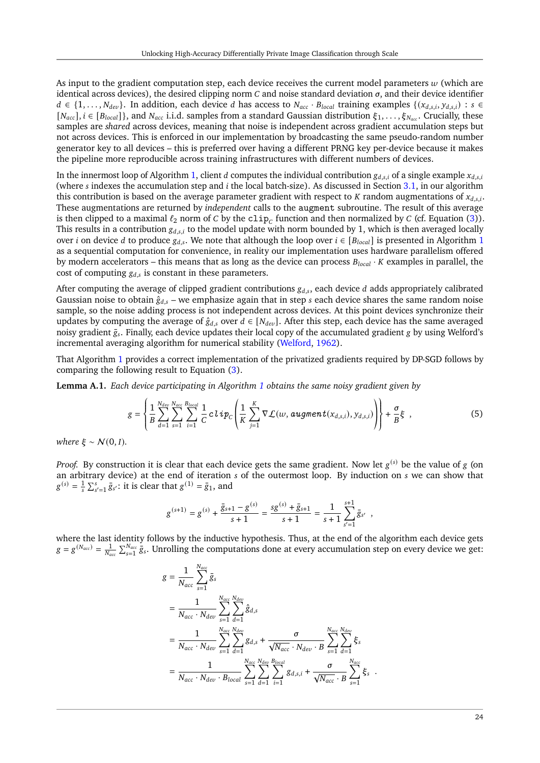As input to the gradient computation step, each device receives the current model parameters  $w$  (which are identical across devices), the desired clipping norm  $C$  and noise standard deviation  $\sigma$ , and their device identifier  $d \in \{1, \ldots, N_{dev}\}.$  In addition, each device d has access to  $N_{acc} \cdot B_{local}$  training examples  $\{(x_{d,s,i}, y_{d,s,i}) : s \in$  $[N_{acc}]$ ,  $i \in [B_{local}]\}$ , and  $N_{acc}$  i.i.d. samples from a standard Gaussian distribution  $\xi_1, \ldots, \xi_{N_{acc}}$ . Crucially, these samples are *shared* across devices, meaning that noise is independent across gradient accumulation steps but not across devices. This is enforced in our implementation by broadcasting the same pseudo-random number generator key to all devices – this is preferred over having a different PRNG key per-device because it makes the pipeline more reproducible across training infrastructures with different numbers of devices.

In the innermost loop of Algorithm [1,](#page-22-2) client *d* computes the individual contribution  $g_{d,s,i}$  of a single example  $x_{d,s,i}$ (where  $s$  indexes the accumulation step and  $i$  the local batch-size). As discussed in Section [3.1,](#page-5-1) in our algorithm this contribution is based on the average parameter gradient with respect to  $K$  random augmentations of  $x_{d,s,i}$ . These augmentations are returned by *independent* calls to the augment subroutine. The result of this average is then clipped to a maximal  $\ell_2$  norm of C by the  $\texttt{clip}_C$  function and then normalized by C (cf. Equation [\(3\)](#page-4-1)). This results in a contribution  $g_{d,s,i}$  to the model update with norm bounded by 1, which is then averaged locally over *i* on device *d* to produce  $g_{d,s}$ . We note that although the loop over  $i \in [B_{local}]$  is presented in Algorithm [1](#page-22-2) as a sequential computation for convenience, in reality our implementation uses hardware parallelism offered by modern accelerators – this means that as long as the device can process  $B_{local} \cdot K$  examples in parallel, the cost of computing  $g_{d,s}$  is constant in these parameters.

After computing the average of clipped gradient contributions  $g_{d,s}$ , each device d adds appropriately calibrated Gaussian noise to obtain  $\hat{g}_{d,s}$  – we emphasize again that in step *s* each device shares the same random noise sample, so the noise adding process is not independent across devices. At this point devices synchronize their updates by computing the average of  $\hat{g}_{d,s}$  over  $d \in [N_{dev}]$ . After this step, each device has the same averaged noisy gradient  $\bar{g}_s$ . Finally, each device updates their local copy of the accumulated gradient g by using Welford's incremental averaging algorithm for numerical stability [\(Welford,](#page-21-18) [1962\)](#page-21-18).

That Algorithm [1](#page-22-2) provides a correct implementation of the privatized gradients required by DP-SGD follows by comparing the following result to Equation [\(3\)](#page-4-1).

**Lemma A.1.** *Each device participating in Algorithm [1](#page-22-2) obtains the same noisy gradient given by*

$$
g = \left\{\frac{1}{B}\sum_{d=1}^{N_{dev}}\sum_{s=1}^{N_{acc}}\sum_{i=1}^{B_{local}}\frac{1}{C}c\, \text{Lip}_C\left(\frac{1}{K}\sum_{j=1}^K\nabla \mathcal{L}(w, \text{augment}(x_{d,s,i}), y_{d,s,i})\right)\right\} + \frac{\sigma}{B}\xi \quad ,\tag{5}
$$

*where*  $\xi \sim N(0, I)$ *.* 

*Proof.* By construction it is clear that each device gets the same gradient. Now let  $g^{(s)}$  be the value of  $g$  (on an arbitrary device) at the end of iteration  $s$  of the outermost loop. By induction on  $s$  we can show that  $g^{(s)} = \frac{1}{s} \sum_{s'=1}^{s} \bar{g}_{s'}$ : it is clear that  $g^{(1)} = \bar{g}_1$ , and

<span id="page-23-0"></span>
$$
g^{(s+1)} = g^{(s)} + \frac{\bar{g}_{s+1} - g^{(s)}}{s+1} = \frac{sg^{(s)} + \bar{g}_{s+1}}{s+1} = \frac{1}{s+1} \sum_{s'=1}^{s+1} \bar{g}_{s'} ,
$$

where the last identity follows by the inductive hypothesis. Thus, at the end of the algorithm each device gets  $g = g^{(N_{acc})} = \frac{1}{N}$  $\frac{1}{N_{acc}}\sum_{s=1}^{N_{acc}} \bar{g}_s$ . Unrolling the computations done at every accumulation step on every device we get:

$$
g = \frac{1}{N_{acc}} \sum_{s=1}^{N_{acc}} \bar{g}_s
$$
  
\n
$$
= \frac{1}{N_{acc} \cdot N_{dev}} \sum_{s=1}^{N_{acc}} \sum_{d=1}^{N_{dev}} \hat{g}_{d,s}
$$
  
\n
$$
= \frac{1}{N_{acc} \cdot N_{dev}} \sum_{s=1}^{N_{acc}} \sum_{d=1}^{N_{dev}} g_{d,s} + \frac{\sigma}{\sqrt{N_{acc} \cdot N_{dev} \cdot B}} \sum_{s=1}^{N_{acc}} \sum_{d=1}^{N_{dev}} \xi_s
$$
  
\n
$$
= \frac{1}{N_{acc} \cdot N_{dev} \cdot B_{local}} \sum_{s=1}^{N_{acc}} \sum_{d=1}^{N_{dev}} \sum_{i=1}^{B_{local}} g_{d,s,i} + \frac{\sigma}{\sqrt{N_{acc} \cdot B}} \sum_{s=1}^{N_{acc}} \xi_s.
$$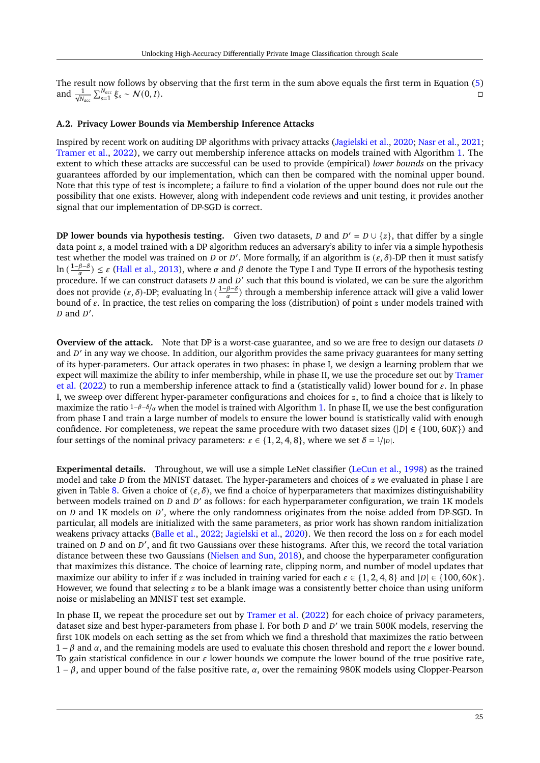The result now follows by observing that the first term in the sum above equals the first term in Equation [\(5\)](#page-23-0) and  $\frac{1}{\sqrt{N_{acc}}} \sum_{s=1}^{N_{acc}} \xi_s \sim \mathcal{N}(0, I).$ 

#### <span id="page-24-0"></span>**A.2. Privacy Lower Bounds via Membership Inference Attacks**

Inspired by recent work on auditing DP algorithms with privacy attacks [\(Jagielski et al.,](#page-18-19) [2020;](#page-18-19) [Nasr et al.,](#page-19-21) [2021;](#page-19-21) [Tramer et al.,](#page-20-21) [2022\)](#page-20-21), we carry out membership inference attacks on models trained with Algorithm [1.](#page-22-2) The extent to which these attacks are successful can be used to provide (empirical) *lower bounds* on the privacy guarantees afforded by our implementation, which can then be compared with the nominal upper bound. Note that this type of test is incomplete; a failure to find a violation of the upper bound does not rule out the possibility that one exists. However, along with independent code reviews and unit testing, it provides another signal that our implementation of DP-SGD is correct.

**DP lower bounds via hypothesis testing.** Given two datasets,  $D$  and  $D' = D \cup \{z\}$ , that differ by a single data point  $z$ , a model trained with a DP algorithm reduces an adversary's ability to infer via a simple hypothesis test whether the model was trained on *D* or *D'*. More formally, if an algorithm is  $(\varepsilon, \delta)$ -DP then it must satisfy ln ( $\frac{1-\beta-\delta}{\alpha}$ ) ≤  $\varepsilon$  [\(Hall et al.,](#page-18-20) [2013\)](#page-18-20), where  $\alpha$  and  $\beta$  denote the Type I and Type II errors of the hypothesis testing  $\lim_{\alpha}$   $\frac{1}{\alpha}$  is a critical et al., 2013), where a and p denote the Type I and Type II errors of the hypothesis testing procedure. If we can construct datasets *D* and *D'* such that this bound is violated, we can b does not provide ( $\varepsilon$ ,  $\delta$ )-DP; evaluating ln ( $\frac{1-\beta-\delta}{\alpha}$ ) through a membership inference attack will give a valid lower bound of  $\varepsilon$ . In practice, the test relies on comparing the loss (distribution) of point  $z$  under models trained with  $D$  and  $D'$ .

**Overview of the attack.** Note that DP is a worst-case guarantee, and so we are free to design our datasets D and D' in any way we choose. In addition, our algorithm provides the same privacy guarantees for many setting of its hyper-parameters. Our attack operates in two phases: in phase I, we design a learning problem that we expect will maximize the ability to infer membership, while in phase II, we use the procedure set out by [Tramer](#page-20-21) [et al.](#page-20-21) [\(2022\)](#page-20-21) to run a membership inference attack to find a (statistically valid) lower bound for  $\varepsilon$ . In phase I, we sweep over different hyper-parameter configurations and choices for  $z$ , to find a choice that is likely to maximize the ratio  $1-\beta-\delta/\alpha$  when the model is trained with Algorithm [1.](#page-22-2) In phase II, we use the best configuration from phase I and train a large number of models to ensure the lower bound is statistically valid with enough confidence. For completeness, we repeat the same procedure with two dataset sizes ( $|D| \in \{100, 60K\}$ ) and four settings of the nominal privacy parameters:  $\varepsilon \in \{1, 2, 4, 8\}$ , where we set  $\delta = 1/|D|$ .

**Experimental details.** Throughout, we will use a simple LeNet classifier [\(LeCun et al.,](#page-19-22) [1998\)](#page-19-22) as the trained model and take  $D$  from the MNIST dataset. The hyper-parameters and choices of  $z$  we evaluated in phase I are given in Table [8.](#page-25-0) Given a choice of  $(\epsilon, \delta)$ , we find a choice of hyperparameters that maximizes distinguishability between models trained on  $D$  and  $D'$  as follows: for each hyperparameter configuration, we train 1K models on  $D$  and 1K models on  $D'$ , where the only randomness originates from the noise added from DP-SGD. In particular, all models are initialized with the same parameters, as prior work has shown random initialization weakens privacy attacks [\(Balle et al.,](#page-17-1) [2022;](#page-17-1) [Jagielski et al.,](#page-18-19) [2020\)](#page-18-19). We then record the loss on  $\zeta$  for each model trained on  $D$  and on  $D'$ , and fit two Gaussians over these histograms. After this, we record the total variation distance between these two Gaussians [\(Nielsen and Sun,](#page-19-23) [2018\)](#page-19-23), and choose the hyperparameter configuration that maximizes this distance. The choice of learning rate, clipping norm, and number of model updates that maximize our ability to infer if z was included in training varied for each  $\varepsilon \in \{1, 2, 4, 8\}$  and  $|D| \in \{100, 60K\}$ . However, we found that selecting  $z$  to be a blank image was a consistently better choice than using uniform noise or mislabeling an MNIST test set example.

In phase II, we repeat the procedure set out by [Tramer et al.](#page-20-21) [\(2022\)](#page-20-21) for each choice of privacy parameters, dataset size and best hyper-parameters from phase I. For both  $D$  and  $D'$  we train 500K models, reserving the first 10K models on each setting as the set from which we find a threshold that maximizes the ratio between  $1 - \beta$  and  $\alpha$ , and the remaining models are used to evaluate this chosen threshold and report the  $\varepsilon$  lower bound. To gain statistical confidence in our  $\varepsilon$  lower bounds we compute the lower bound of the true positive rate,  $1 - \beta$ , and upper bound of the false positive rate,  $\alpha$ , over the remaining 980K models using Clopper-Pearson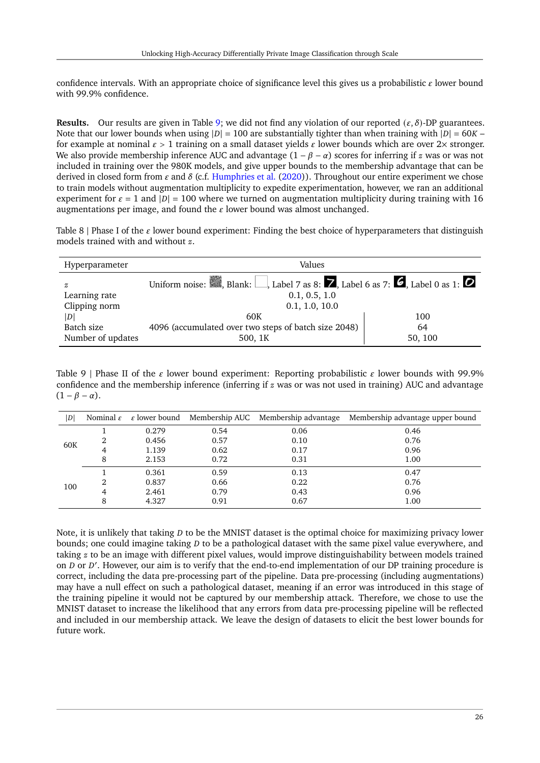confidence intervals. With an appropriate choice of significance level this gives us a probabilistic  $\varepsilon$  lower bound with 99.9% confidence.

**Results.** Our results are given in Table [9;](#page-25-1) we did not find any violation of our reported  $(\varepsilon, \delta)$ -DP guarantees. Note that our lower bounds when using  $|D| = 100$  are substantially tighter than when training with  $|D| = 60K$ for example at nominal  $\epsilon > 1$  training on a small dataset yields  $\epsilon$  lower bounds which are over 2× stronger. We also provide membership inference AUC and advantage  $(1 - \beta - \alpha)$  scores for inferring if z was or was not included in training over the 980K models, and give upper bounds to the membership advantage that can be derived in closed form from  $\varepsilon$  and  $\delta$  (c.f. [Humphries et al.](#page-18-21) [\(2020\)](#page-18-21)). Throughout our entire experiment we chose to train models without augmentation multiplicity to expedite experimentation, however, we ran an additional experiment for  $\varepsilon = 1$  and  $|D| = 100$  where we turned on augmentation multiplicity during training with 16 augmentations per image, and found the  $\varepsilon$  lower bound was almost unchanged.

<span id="page-25-0"></span>Table 8 | Phase I of the  $\varepsilon$  lower bound experiment: Finding the best choice of hyperparameters that distinguish models trained with and without  $z$ .

| Hyperparameter            | Values                                                                                                  |         |  |  |  |
|---------------------------|---------------------------------------------------------------------------------------------------------|---------|--|--|--|
| z                         | Uniform noise: $\Box$ , Blank: Label 7 as 8: <b>7</b> , Label 6 as 7: <b>6</b> , Label 0 as 1: <b>0</b> |         |  |  |  |
| Learning rate             | 0.1, 0.5, 1.0                                                                                           |         |  |  |  |
| Clipping norm             | 0.1, 1.0, 10.0                                                                                          |         |  |  |  |
| $\left\vert D\right\vert$ | 60K                                                                                                     | 100     |  |  |  |
| Batch size                | 4096 (accumulated over two steps of batch size 2048)                                                    | 64      |  |  |  |
| Number of updates         | 500, 1K                                                                                                 | 50, 100 |  |  |  |

<span id="page-25-1"></span>Table 9 | Phase II of the  $\epsilon$  lower bound experiment: Reporting probabilistic  $\epsilon$  lower bounds with 99.9% confidence and the membership inference (inferring if  $z$  was or was not used in training) AUC and advantage  $(1 - \beta - \alpha)$ .

| D   |               |       |      | Nominal $\varepsilon$ $\varepsilon$ lower bound Membership AUC Membership advantage | Membership advantage upper bound |
|-----|---------------|-------|------|-------------------------------------------------------------------------------------|----------------------------------|
|     |               | 0.279 | 0.54 | 0.06                                                                                | 0.46                             |
| 60K |               | 0.456 | 0.57 | 0.10                                                                                | 0.76                             |
|     | 4             | 1.139 | 0.62 | 0.17                                                                                | 0.96                             |
|     | 8             | 2.153 | 0.72 | 0.31                                                                                | 1.00                             |
|     |               | 0.361 | 0.59 | 0.13                                                                                | 0.47                             |
| 100 | $\mathcal{D}$ | 0.837 | 0.66 | 0.22                                                                                | 0.76                             |
|     | 4             | 2.461 | 0.79 | 0.43                                                                                | 0.96                             |
|     | 8             | 4.327 | 0.91 | 0.67                                                                                | 1.00                             |

Note, it is unlikely that taking  $D$  to be the MNIST dataset is the optimal choice for maximizing privacy lower bounds; one could imagine taking  $D$  to be a pathological dataset with the same pixel value everywhere, and taking  $z$  to be an image with different pixel values, would improve distinguishability between models trained on *D* or *D'*. However, our aim is to verify that the end-to-end implementation of our DP training procedure is correct, including the data pre-processing part of the pipeline. Data pre-processing (including augmentations) may have a null effect on such a pathological dataset, meaning if an error was introduced in this stage of the training pipeline it would not be captured by our membership attack. Therefore, we chose to use the MNIST dataset to increase the likelihood that any errors from data pre-processing pipeline will be reflected and included in our membership attack. We leave the design of datasets to elicit the best lower bounds for future work.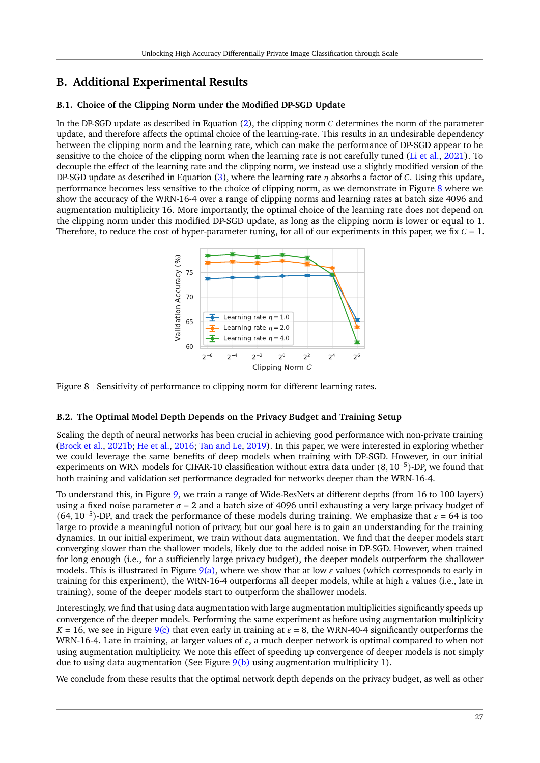# **B. Additional Experimental Results**

### <span id="page-26-0"></span>**B.1. Choice of the Clipping Norm under the Modified DP-SGD Update**

In the DP-SGD update as described in Equation  $(2)$ , the clipping norm  $C$  determines the norm of the parameter update, and therefore affects the optimal choice of the learning-rate. This results in an undesirable dependency between the clipping norm and the learning rate, which can make the performance of DP-SGD appear to be sensitive to the choice of the clipping norm when the learning rate is not carefully tuned [\(Li et al.,](#page-19-11) [2021\)](#page-19-11). To decouple the effect of the learning rate and the clipping norm, we instead use a slightly modified version of the DP-SGD update as described in Equation [\(3\)](#page-4-1), where the learning rate  $\eta$  absorbs a factor of C. Using this update, performance becomes less sensitive to the choice of clipping norm, as we demonstrate in Figure [8](#page-26-2) where we show the accuracy of the WRN-16-4 over a range of clipping norms and learning rates at batch size 4096 and augmentation multiplicity 16. More importantly, the optimal choice of the learning rate does not depend on the clipping norm under this modified DP-SGD update, as long as the clipping norm is lower or equal to 1. Therefore, to reduce the cost of hyper-parameter tuning, for all of our experiments in this paper, we fix  $C = 1$ .

<span id="page-26-2"></span>

Figure 8 | Sensitivity of performance to clipping norm for different learning rates.

### <span id="page-26-1"></span>**B.2. The Optimal Model Depth Depends on the Privacy Budget and Training Setup**

Scaling the depth of neural networks has been crucial in achieving good performance with non-private training [\(Brock et al.,](#page-17-5) [2021b;](#page-17-5) [He et al.,](#page-18-5) [2016;](#page-18-5) [Tan and Le,](#page-20-9) [2019\)](#page-20-9). In this paper, we were interested in exploring whether we could leverage the same benefits of deep models when training with DP-SGD. However, in our initial experiments on WRN models for CIFAR-10 classification without extra data under (8, 10−<sup>5</sup> )-DP, we found that both training and validation set performance degraded for networks deeper than the WRN-16-4.

To understand this, in Figure [9,](#page-27-2) we train a range of Wide-ResNets at different depths (from 16 to 100 layers) using a fixed noise parameter  $\sigma = 2$  and a batch size of 4096 until exhausting a very large privacy budget of  $(64, 10^{-5})$ -DP, and track the performance of these models during training. We emphasize that  $\varepsilon = 64$  is too large to provide a meaningful notion of privacy, but our goal here is to gain an understanding for the training dynamics. In our initial experiment, we train without data augmentation. We find that the deeper models start converging slower than the shallower models, likely due to the added noise in DP-SGD. However, when trained for long enough (i.e., for a sufficiently large privacy budget), the deeper models outperform the shallower models. This is illustrated in Figure [9\(a\),](#page-27-3) where we show that at low  $\varepsilon$  values (which corresponds to early in training for this experiment), the WRN-16-4 outperforms all deeper models, while at high  $\varepsilon$  values (i.e., late in training), some of the deeper models start to outperform the shallower models.

Interestingly, we find that using data augmentation with large augmentation multiplicities significantly speeds up convergence of the deeper models. Performing the same experiment as before using augmentation multiplicity  $K = 16$ , we see in Figure [9\(c\)](#page-27-4) that even early in training at  $\varepsilon = 8$ , the WRN-40-4 significantly outperforms the WRN-16-4. Late in training, at larger values of  $\varepsilon$ , a much deeper network is optimal compared to when not using augmentation multiplicity. We note this effect of speeding up convergence of deeper models is not simply due to using data augmentation (See Figure  $9(b)$  using augmentation multiplicity 1).

We conclude from these results that the optimal network depth depends on the privacy budget, as well as other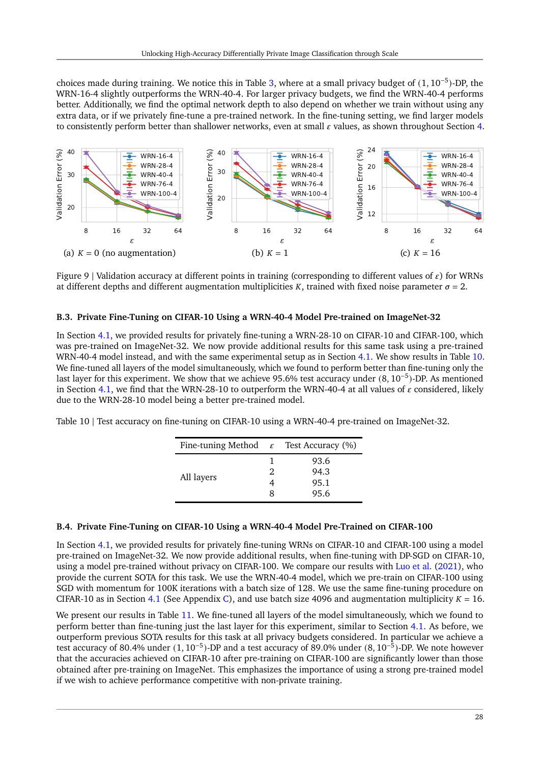choices made during training. We notice this in Table [3,](#page-9-1) where at a small privacy budget of (1, 10<sup>-5</sup>)-DP, the WRN-16-4 slightly outperforms the WRN-40-4. For larger privacy budgets, we find the WRN-40-4 performs better. Additionally, we find the optimal network depth to also depend on whether we train without using any extra data, or if we privately fine-tune a pre-trained network. In the fine-tuning setting, we find larger models to consistently perform better than shallower networks, even at small  $\varepsilon$  values, as shown throughout Section [4.](#page-10-1)

<span id="page-27-3"></span><span id="page-27-2"></span>

<span id="page-27-5"></span>Figure 9 | Validation accuracy at different points in training (corresponding to different values of  $\varepsilon$ ) for WRNs at different depths and different augmentation multiplicities K, trained with fixed noise parameter  $\sigma = 2$ .

#### <span id="page-27-0"></span>**B.3. Private Fine-Tuning on CIFAR-10 Using a WRN-40-4 Model Pre-trained on ImageNet-32**

In Section [4.1,](#page-10-0) we provided results for privately fine-tuning a WRN-28-10 on CIFAR-10 and CIFAR-100, which was pre-trained on ImageNet-32. We now provide additional results for this same task using a pre-trained WRN-40-4 model instead, and with the same experimental setup as in Section [4.1.](#page-10-0) We show results in Table [10.](#page-27-6) We fine-tuned all layers of the model simultaneously, which we found to perform better than fine-tuning only the last layer for this experiment. We show that we achieve 95.6% test accuracy under (8, 10−<sup>5</sup> )-DP. As mentioned in Section [4.1,](#page-10-0) we find that the WRN-28-10 to outperform the WRN-40-4 at all values of  $\varepsilon$  considered, likely due to the WRN-28-10 model being a better pre-trained model.

<span id="page-27-6"></span>Table 10 | Test accuracy on fine-tuning on CIFAR-10 using a WRN-40-4 pre-trained on ImageNet-32.

<span id="page-27-4"></span>

|   | Fine-tuning Method $\varepsilon$ Test Accuracy (%) |
|---|----------------------------------------------------|
|   | 93.6                                               |
| 2 | 94.3                                               |
|   | 95.1                                               |
|   | 95.6                                               |
|   |                                                    |

#### <span id="page-27-1"></span>**B.4. Private Fine-Tuning on CIFAR-10 Using a WRN-40-4 Model Pre-Trained on CIFAR-100**

In Section [4.1,](#page-10-0) we provided results for privately fine-tuning WRNs on CIFAR-10 and CIFAR-100 using a model pre-trained on ImageNet-32. We now provide additional results, when fine-tuning with DP-SGD on CIFAR-10, using a model pre-trained without privacy on CIFAR-100. We compare our results with [Luo et al.](#page-19-14) [\(2021\)](#page-19-14), who provide the current SOTA for this task. We use the WRN-40-4 model, which we pre-train on CIFAR-100 using SGD with momentum for 100K iterations with a batch size of 128. We use the same fine-tuning procedure on CIFAR-10 as in Section [4.1](#page-10-0) (See Appendix [C\)](#page-29-0), and use batch size 4096 and augmentation multiplicity  $K = 16$ .

We present our results in Table [11.](#page-28-0) We fine-tuned all layers of the model simultaneously, which we found to perform better than fine-tuning just the last layer for this experiment, similar to Section [4.1.](#page-10-0) As before, we outperform previous SOTA results for this task at all privacy budgets considered. In particular we achieve a test accuracy of 80.4% under (1, 10−<sup>5</sup> )-DP and a test accuracy of 89.0% under (8, 10−<sup>5</sup> )-DP. We note however that the accuracies achieved on CIFAR-10 after pre-training on CIFAR-100 are significantly lower than those obtained after pre-training on ImageNet. This emphasizes the importance of using a strong pre-trained model if we wish to achieve performance competitive with non-private training.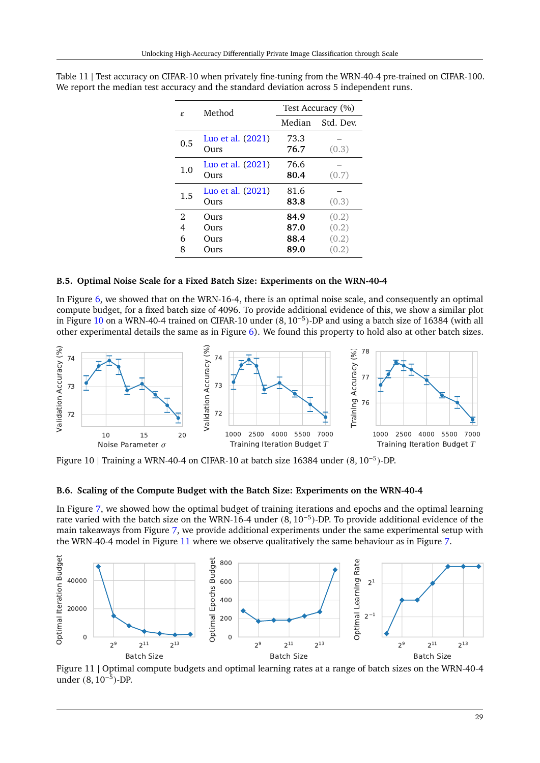| £.                            | Method                                 |                              | Test Accuracy (%)                |
|-------------------------------|----------------------------------------|------------------------------|----------------------------------|
|                               |                                        | Median                       | Std. Dev.                        |
| 0.5                           | Luo et al. (2021)<br>Ours              | 73.3<br>76.7                 | (0.3)                            |
| 1.0                           | Luo et al. (2021)<br>Ours              | 76.6<br>80.4                 | (0.7)                            |
| $1.5\,$                       | Luo et al. (2021)<br>O <sub>111S</sub> | 81.6<br>83.8                 | (0.3)                            |
| $\mathfrak{D}$<br>4<br>6<br>8 | Ours<br>Ours<br>Ours<br><b>Durs</b>    | 84.9<br>87.0<br>88.4<br>89.0 | (0.2)<br>(0.2)<br>(0.2)<br>(0.2) |

<span id="page-28-0"></span>Table 11 | Test accuracy on CIFAR-10 when privately fine-tuning from the WRN-40-4 pre-trained on CIFAR-100. We report the median test accuracy and the standard deviation across 5 independent runs.

#### **B.5. Optimal Noise Scale for a Fixed Batch Size: Experiments on the WRN-40-4**

In Figure [6,](#page-14-3) we showed that on the WRN-16-4, there is an optimal noise scale, and consequently an optimal compute budget, for a fixed batch size of 4096. To provide additional evidence of this, we show a similar plot in Figure [10](#page-28-1) on a WRN-40-4 trained on CIFAR-10 under (8, 10−<sup>5</sup> )-DP and using a batch size of 16384 (with all other experimental details the same as in Figure [6\)](#page-14-3). We found this property to hold also at other batch sizes.

<span id="page-28-1"></span>

Figure 10 | Training a WRN-40-4 on CIFAR-10 at batch size 16384 under (8, 10−<sup>5</sup> )-DP.

#### **B.6. Scaling of the Compute Budget with the Batch Size: Experiments on the WRN-40-4**

In Figure [7,](#page-15-2) we showed how the optimal budget of training iterations and epochs and the optimal learning rate varied with the batch size on the WRN-16-4 under (8, 10−<sup>5</sup> )-DP. To provide additional evidence of the main takeaways from Figure [7,](#page-15-2) we provide additional experiments under the same experimental setup with the WRN-40-4 model in Figure [11](#page-28-2) where we observe qualitatively the same behaviour as in Figure [7.](#page-15-2)

<span id="page-28-2"></span>

Figure 11 | Optimal compute budgets and optimal learning rates at a range of batch sizes on the WRN-40-4 under  $(8, 10^{-5})$ -DP.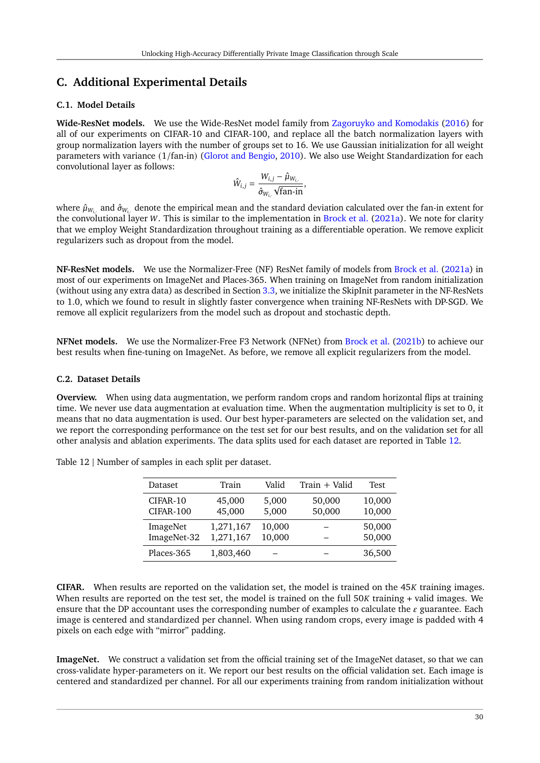# <span id="page-29-0"></span>**C. Additional Experimental Details**

### <span id="page-29-1"></span>**C.1. Model Details**

**Wide-ResNet models.** We use the Wide-ResNet model family from [Zagoruyko and Komodakis](#page-21-5) [\(2016\)](#page-21-5) for all of our experiments on CIFAR-10 and CIFAR-100, and replace all the batch normalization layers with group normalization layers with the number of groups set to 16. We use Gaussian initialization for all weight parameters with variance (1/fan-in) [\(Glorot and Bengio,](#page-18-12) [2010\)](#page-18-12). We also use Weight Standardization for each convolutional layer as follows:

$$
\hat{W}_{i,j} = \frac{W_{i,j} - \hat{\mu}_{W_{i,\cdot}}}{\hat{\sigma}_{W_{i,\cdot}}\sqrt{\text{fan-in}}},
$$

where  $\hat\mu_{W_{i,\cdot}}$  and  $\hat\sigma_{W_{i,\cdot}}$  denote the empirical mean and the standard deviation calculated over the fan-in extent for the convolutional layer W. This is similar to the implementation in [Brock et al.](#page-17-7) [\(2021a\)](#page-17-7). We note for clarity that we employ Weight Standardization throughout training as a differentiable operation. We remove explicit regularizers such as dropout from the model.

**NF-ResNet models.** We use the Normalizer-Free (NF) ResNet family of models from [Brock et al.](#page-17-7) [\(2021a\)](#page-17-7) in most of our experiments on ImageNet and Places-365. When training on ImageNet from random initialization (without using any extra data) as described in Section [3.3,](#page-9-0) we initialize the SkipInit parameter in the NF-ResNets to 1.0, which we found to result in slightly faster convergence when training NF-ResNets with DP-SGD. We remove all explicit regularizers from the model such as dropout and stochastic depth.

**NFNet models.** We use the Normalizer-Free F3 Network (NFNet) from [Brock et al.](#page-17-5) [\(2021b\)](#page-17-5) to achieve our best results when fine-tuning on ImageNet. As before, we remove all explicit regularizers from the model.

#### **C.2. Dataset Details**

**Overview.** When using data augmentation, we perform random crops and random horizontal flips at training time. We never use data augmentation at evaluation time. When the augmentation multiplicity is set to 0, it means that no data augmentation is used. Our best hyper-parameters are selected on the validation set, and we report the corresponding performance on the test set for our best results, and on the validation set for all other analysis and ablation experiments. The data splits used for each dataset are reported in Table [12.](#page-29-2)

| Dataset          | Train     | Valid  | Train + Valid | Test   |
|------------------|-----------|--------|---------------|--------|
| CIFAR-10         | 45,000    | 5,000  | 50,000        | 10,000 |
| <b>CIFAR-100</b> | 45,000    | 5,000  | 50,000        | 10,000 |
| ImageNet         | 1,271,167 | 10,000 |               | 50,000 |
| ImageNet-32      | 1,271,167 | 10,000 |               | 50,000 |
| Places-365       | 1,803,460 |        |               | 36,500 |

<span id="page-29-2"></span>Table 12 | Number of samples in each split per dataset.

**CIFAR.** When results are reported on the validation set, the model is trained on the 45K training images. When results are reported on the test set, the model is trained on the full  $50K$  training + valid images. We ensure that the DP accountant uses the corresponding number of examples to calculate the  $\varepsilon$  guarantee. Each image is centered and standardized per channel. When using random crops, every image is padded with 4 pixels on each edge with "mirror" padding.

**ImageNet.** We construct a validation set from the official training set of the ImageNet dataset, so that we can cross-validate hyper-parameters on it. We report our best results on the official validation set. Each image is centered and standardized per channel. For all our experiments training from random initialization without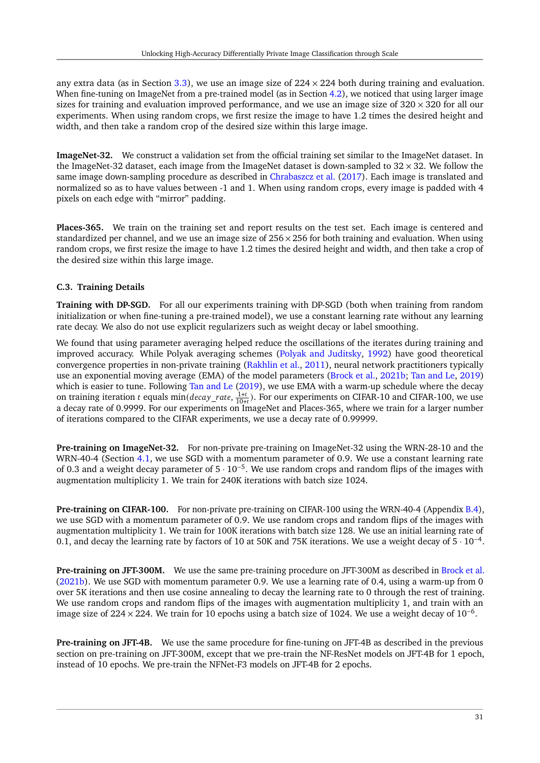any extra data (as in Section [3.3\)](#page-9-0), we use an image size of  $224 \times 224$  both during training and evaluation. When fine-tuning on ImageNet from a pre-trained model (as in Section [4.2\)](#page-11-0), we noticed that using larger image sizes for training and evaluation improved performance, and we use an image size of  $320 \times 320$  for all our experiments. When using random crops, we first resize the image to have 1.2 times the desired height and width, and then take a random crop of the desired size within this large image.

**ImageNet-32.** We construct a validation set from the official training set similar to the ImageNet dataset. In the ImageNet-32 dataset, each image from the ImageNet dataset is down-sampled to  $32 \times 32$ . We follow the same image down-sampling procedure as described in [Chrabaszcz et al.](#page-17-17) [\(2017\)](#page-17-17). Each image is translated and normalized so as to have values between -1 and 1. When using random crops, every image is padded with 4 pixels on each edge with "mirror" padding.

**Places-365.** We train on the training set and report results on the test set. Each image is centered and standardized per channel, and we use an image size of  $256 \times 256$  for both training and evaluation. When using random crops, we first resize the image to have 1.2 times the desired height and width, and then take a crop of the desired size within this large image.

### **C.3. Training Details**

**Training with DP-SGD.** For all our experiments training with DP-SGD (both when training from random initialization or when fine-tuning a pre-trained model), we use a constant learning rate without any learning rate decay. We also do not use explicit regularizers such as weight decay or label smoothing.

We found that using parameter averaging helped reduce the oscillations of the iterates during training and improved accuracy. While Polyak averaging schemes [\(Polyak and Juditsky,](#page-19-7) [1992\)](#page-19-7) have good theoretical convergence properties in non-private training [\(Rakhlin et al.,](#page-20-22) [2011\)](#page-20-22), neural network practitioners typically use an exponential moving average (EMA) of the model parameters [\(Brock et al.,](#page-17-5) [2021b;](#page-17-5) [Tan and Le,](#page-20-9) [2019\)](#page-20-9) which is easier to tune. Following [Tan and Le](#page-20-9) [\(2019\)](#page-20-9), we use EMA with a warm-up schedule where the decay on training iteration *t* equals  $\min(decay_rate, \frac{1+t}{10+t})$ . For our experiments on CIFAR-10 and CIFAR-100, we use a decay rate of 0.9999. For our experiments on ImageNet and Places-365, where we train for a larger number of iterations compared to the CIFAR experiments, we use a decay rate of 0.99999.

**Pre-training on ImageNet-32.** For non-private pre-training on ImageNet-32 using the WRN-28-10 and the WRN-40-4 (Section [4.1,](#page-10-0) we use SGD with a momentum parameter of 0.9. We use a constant learning rate of 0.3 and a weight decay parameter of 5 · 10−<sup>5</sup> . We use random crops and random flips of the images with augmentation multiplicity 1. We train for 240K iterations with batch size 1024.

**Pre-training on CIFAR-100.** For non-private pre-training on CIFAR-100 using the WRN-40-4 (Appendix [B.4\)](#page-27-1), we use SGD with a momentum parameter of 0.9. We use random crops and random flips of the images with augmentation multiplicity 1. We train for 100K iterations with batch size 128. We use an initial learning rate of 0.1, and decay the learning rate by factors of 10 at 50K and 75K iterations. We use a weight decay of 5 · 10−<sup>4</sup> .

**Pre-training on JFT-300M.** We use the same pre-training procedure on JFT-300M as described in [Brock et al.](#page-17-5) [\(2021b\)](#page-17-5). We use SGD with momentum parameter 0.9. We use a learning rate of 0.4, using a warm-up from 0 over 5K iterations and then use cosine annealing to decay the learning rate to 0 through the rest of training. We use random crops and random flips of the images with augmentation multiplicity 1, and train with an image size of 224  $\times$  224. We train for 10 epochs using a batch size of 1024. We use a weight decay of 10<sup>-6</sup>.

**Pre-training on JFT-4B.** We use the same procedure for fine-tuning on JFT-4B as described in the previous section on pre-training on JFT-300M, except that we pre-train the NF-ResNet models on JFT-4B for 1 epoch, instead of 10 epochs. We pre-train the NFNet-F3 models on JFT-4B for 2 epochs.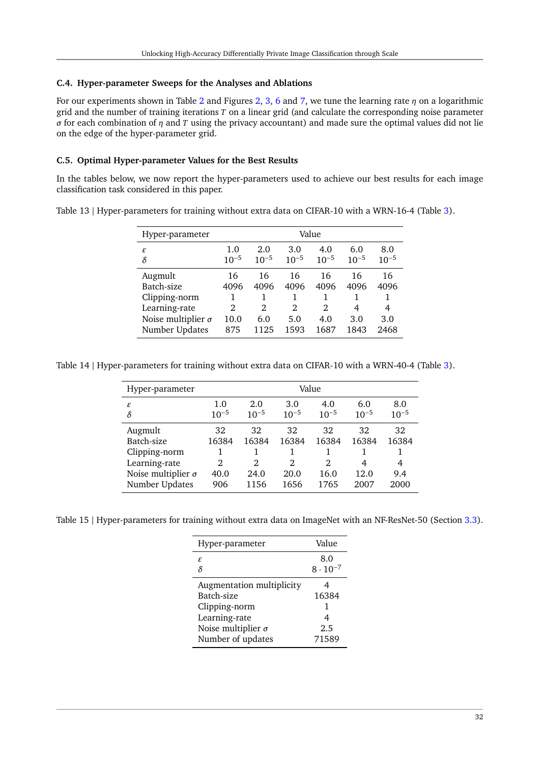### **C.4. Hyper-parameter Sweeps for the Analyses and Ablations**

For our experiments shown in Table [2](#page-6-0) and Figures [2,](#page-7-0) [3,](#page-7-0) [6](#page-14-3) and [7,](#page-15-2) we tune the learning rate  $\eta$  on a logarithmic grid and the number of training iterations  $T$  on a linear grid (and calculate the corresponding noise parameter  $\sigma$  for each combination of  $\eta$  and  $T$  using the privacy accountant) and made sure the optimal values did not lie on the edge of the hyper-parameter grid.

### **C.5. Optimal Hyper-parameter Values for the Best Results**

In the tables below, we now report the hyper-parameters used to achieve our best results for each image classification task considered in this paper.

|  |  | Table 13   Hyper-parameters for training without extra data on CIFAR-10 with a WRN-16-4 (Table 3). |
|--|--|----------------------------------------------------------------------------------------------------|
|  |  |                                                                                                    |
|  |  |                                                                                                    |

| Hyper-parameter           | Value                         |                |                |           |           |           |  |  |
|---------------------------|-------------------------------|----------------|----------------|-----------|-----------|-----------|--|--|
| ε                         | 1.0                           | 2.0            | 3.0            | 4.0       | 6.0       | 8.0       |  |  |
| $\delta$                  | $10^{-5}$                     | $10^{-5}$      | $10^{-5}$      | $10^{-5}$ | $10^{-5}$ | $10^{-5}$ |  |  |
| Augmult                   | 16                            | 16             | 16             | 16        | 16        | 16        |  |  |
| Batch-size                | 4096                          | 4096           | 4096           | 4096      | 4096      | 4096      |  |  |
| Clipping-norm             |                               |                |                |           |           | 1         |  |  |
| Learning-rate             | $\mathfrak{D}_{\mathfrak{p}}$ | $\mathfrak{D}$ | $\mathfrak{D}$ | 2         | 4         | 4         |  |  |
| Noise multiplier $\sigma$ | 10.0                          | 6.0            | 5.0            | 4.0       | 3.0       | 3.0       |  |  |
| Number Updates            | 875                           | 1125           | 1593           | 1687      | 1843      | 2468      |  |  |

Table 14 | Hyper-parameters for training without extra data on CIFAR-10 with a WRN-40-4 (Table [3\)](#page-9-1).

| Hyper-parameter           |                |           |                |           |           |           |
|---------------------------|----------------|-----------|----------------|-----------|-----------|-----------|
| ε                         | 1.0            | 2.0       | 3.0            | 4.0       | 6.0       | 8.0       |
| $\delta$                  | $10^{-5}$      | $10^{-5}$ | $10^{-5}$      | $10^{-5}$ | $10^{-5}$ | $10^{-5}$ |
| Augmult                   | 32             | 32        | 32             | 32        | 32        | 32        |
| Batch-size                | 16384          | 16384     | 16384          | 16384     | 16384     | 16384     |
| Clipping-norm             |                |           |                |           |           |           |
| Learning-rate             | $\mathfrak{D}$ | 2         | $\mathfrak{D}$ | 2         | 4         | 4         |
| Noise multiplier $\sigma$ | 40.0           | 24.0      | 20.0           | 16.0      | 12.0      | 9.4       |
| Number Updates            | 906            | 1156      | 1656           | 1765      | 2007      | 2000      |

Table 15 | Hyper-parameters for training without extra data on ImageNet with an NF-ResNet-50 (Section [3.3\)](#page-9-0).

| Value                    |
|--------------------------|
| 8.0<br>$8 \cdot 10^{-7}$ |
|                          |
|                          |
| 16384                    |
| 1                        |
| 4                        |
| 2.5                      |
| 71589                    |
|                          |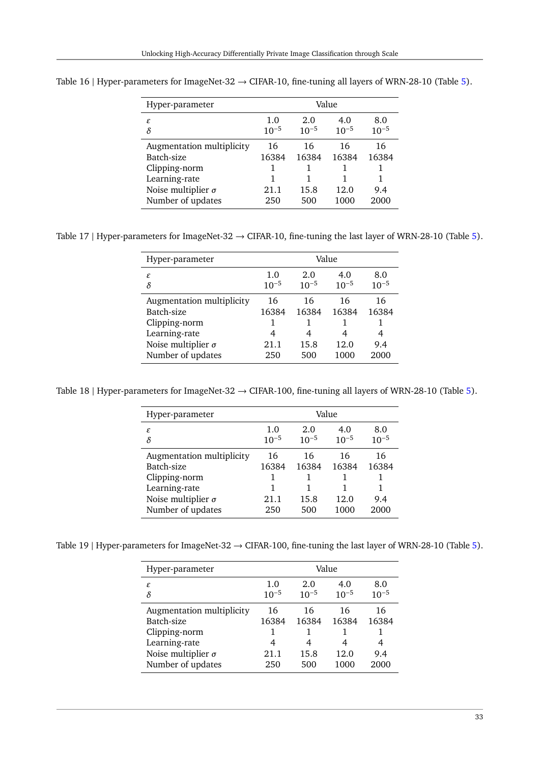| Hyper-parameter                                                                                                             | Value                           |                                 |                             |                                 |  |  |
|-----------------------------------------------------------------------------------------------------------------------------|---------------------------------|---------------------------------|-----------------------------|---------------------------------|--|--|
| ε<br>δ                                                                                                                      | 1.0<br>$10^{-5}$                | 2.0<br>$10^{-5}$                | 4.0<br>$10^{-5}$            | 8.0<br>$10^{-5}$                |  |  |
| Augmentation multiplicity<br>Batch-size<br>Clipping-norm<br>Learning-rate<br>Noise multiplier $\sigma$<br>Number of updates | 16<br>16384<br>1<br>21.1<br>250 | 16<br>16384<br>1<br>15.8<br>500 | 16<br>16384<br>12.0<br>1000 | 16<br>16384<br>1<br>9.4<br>2000 |  |  |

Table 16 | Hyper-parameters for ImageNet-32  $\rightarrow$  CIFAR-10, fine-tuning all layers of WRN-28-10 (Table [5\)](#page-11-1).

Table 17 | Hyper-parameters for ImageNet-32  $\rightarrow$  CIFAR-10, fine-tuning the last layer of WRN-28-10 (Table [5\)](#page-11-1).

| Hyper-parameter           | Value            |                  |                  |                  |  |  |
|---------------------------|------------------|------------------|------------------|------------------|--|--|
| ε<br>δ                    | 1.0<br>$10^{-5}$ | 2.0<br>$10^{-5}$ | 4.0<br>$10^{-5}$ | 8.0<br>$10^{-5}$ |  |  |
| Augmentation multiplicity | 16               | 16               | 16               | 16               |  |  |
| Batch-size                | 16384            | 16384            | 16384            | 16384            |  |  |
| Clipping-norm             |                  |                  |                  |                  |  |  |
| Learning-rate             | 4                | 4                |                  | 4                |  |  |
| Noise multiplier $\sigma$ | 21.1             | 15.8             | 12.0             | 9.4              |  |  |
| Number of updates         | 250              | 500              | 1000             | 2000             |  |  |

Table 18 | Hyper-parameters for ImageNet-32  $\rightarrow$  CIFAR-100, fine-tuning all layers of WRN-28-10 (Table [5\)](#page-11-1).

| Hyper-parameter                                                                                        | Value                    |                     |                          |                         |  |  |
|--------------------------------------------------------------------------------------------------------|--------------------------|---------------------|--------------------------|-------------------------|--|--|
| ε<br>δ                                                                                                 | 1.0<br>$10^{-5}$         | 2.0<br>$10^{-5}$    | 4.0<br>$10^{-5}$         | 8.0<br>$10^{-5}$        |  |  |
| Augmentation multiplicity<br>Batch-size<br>Clipping-norm<br>Learning-rate<br>Noise multiplier $\sigma$ | 16<br>16384<br>1<br>21.1 | 16<br>16384<br>15.8 | 16<br>16384<br>1<br>12.0 | 16<br>16384<br>1<br>9.4 |  |  |
| Number of updates                                                                                      | 250                      | 500                 | 1000                     | 2000                    |  |  |

Table 19 | Hyper-parameters for ImageNet-32  $\rightarrow$  CIFAR-100, fine-tuning the last layer of WRN-28-10 (Table [5\)](#page-11-1).

| Hyper-parameter                                                                  | Value            |                  |                   |                  |  |  |
|----------------------------------------------------------------------------------|------------------|------------------|-------------------|------------------|--|--|
| ε                                                                                | 1.0              | 2.0              | 4.0               | 8.0              |  |  |
| $\delta$                                                                         | $10^{-5}$        | $10^{-5}$        | $10^{-5}$         | $10^{-5}$        |  |  |
| Augmentation multiplicity                                                        | 16               | 16               | 16                | 16               |  |  |
| Batch-size                                                                       | 16384            | 16384            | 16384             | 16384            |  |  |
| Clipping-norm<br>Learning-rate<br>Noise multiplier $\sigma$<br>Number of updates | 4<br>21.1<br>250 | 4<br>15.8<br>500 | 4<br>12.0<br>1000 | 4<br>9.4<br>2000 |  |  |